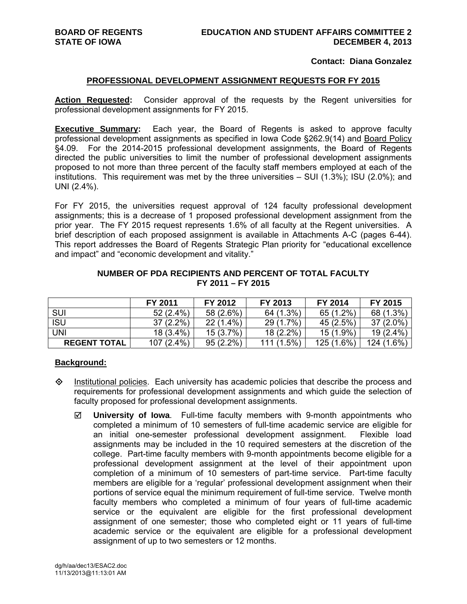## **Contact: Diana Gonzalez**

#### **PROFESSIONAL DEVELOPMENT ASSIGNMENT REQUESTS FOR FY 2015**

**Action Requested:** Consider approval of the requests by the Regent universities for professional development assignments for FY 2015.

**Executive Summary:** Each year, the Board of Regents is asked to approve faculty professional development assignments as specified in Iowa Code §262.9(14) and Board Policy §4.09. For the 2014-2015 professional development assignments, the Board of Regents directed the public universities to limit the number of professional development assignments proposed to not more than three percent of the faculty staff members employed at each of the institutions. This requirement was met by the three universities – SUI (1.3%); ISU (2.0%); and UNI (2.4%).

For FY 2015, the universities request approval of 124 faculty professional development assignments; this is a decrease of 1 proposed professional development assignment from the prior year. The FY 2015 request represents 1.6% of all faculty at the Regent universities. A brief description of each proposed assignment is available in Attachments A-C (pages 6-44). This report addresses the Board of Regents Strategic Plan priority for "educational excellence and impact" and "economic development and vitality."

|                     | FY 2011      | FY 2012     | FY 2013     | FY 2014      | FY 2015     |
|---------------------|--------------|-------------|-------------|--------------|-------------|
| SUI                 | $52(2.4\%)$  | 58 (2.6%)   | 64 (1.3%)   | 65 (1.2%)    | 68 (1.3%)   |
| <b>ISU</b>          | $37(2.2\%)$  | $22(1.4\%)$ | 29 (1.7%)   | 45 (2.5%)    | $37(2.0\%)$ |
| UNI                 | $18(3.4\%)$  | $15(3.7\%)$ | $18(2.2\%)$ | 15 (1.9%)    | $19(2.4\%)$ |
| <b>REGENT TOTAL</b> | $107(2.4\%)$ | $95(2.2\%)$ | 111(1.5%)   | $125(1.6\%)$ | 124 (1.6%)  |

## **NUMBER OF PDA RECIPIENTS AND PERCENT OF TOTAL FACULTY FY 2011 – FY 2015**

# **Background:**

- $\diamond$  Institutional policies. Each university has academic policies that describe the process and requirements for professional development assignments and which guide the selection of faculty proposed for professional development assignments.
	- **University of Iowa**. Full-time faculty members with 9-month appointments who completed a minimum of 10 semesters of full-time academic service are eligible for an initial one-semester professional development assignment. Flexible load assignments may be included in the 10 required semesters at the discretion of the college. Part-time faculty members with 9-month appointments become eligible for a professional development assignment at the level of their appointment upon completion of a minimum of 10 semesters of part-time service. Part-time faculty members are eligible for a 'regular' professional development assignment when their portions of service equal the minimum requirement of full-time service. Twelve month faculty members who completed a minimum of four years of full-time academic service or the equivalent are eligible for the first professional development assignment of one semester; those who completed eight or 11 years of full-time academic service or the equivalent are eligible for a professional development assignment of up to two semesters or 12 months.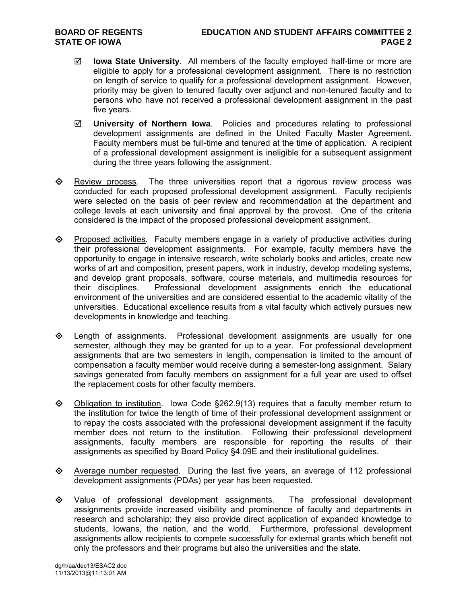- **Iowa State University**. All members of the faculty employed half-time or more are eligible to apply for a professional development assignment. There is no restriction on length of service to qualify for a professional development assignment. However, priority may be given to tenured faculty over adjunct and non-tenured faculty and to persons who have not received a professional development assignment in the past five years.
- **University of Northern Iowa**. Policies and procedures relating to professional development assignments are defined in the United Faculty Master Agreement. Faculty members must be full-time and tenured at the time of application. A recipient of a professional development assignment is ineligible for a subsequent assignment during the three years following the assignment.
- $\Leftrightarrow$  Review process. The three universities report that a rigorous review process was conducted for each proposed professional development assignment. Faculty recipients were selected on the basis of peer review and recommendation at the department and college levels at each university and final approval by the provost. One of the criteria considered is the impact of the proposed professional development assignment.
- $\Diamond$  Proposed activities. Faculty members engage in a variety of productive activities during their professional development assignments. For example, faculty members have the opportunity to engage in intensive research, write scholarly books and articles, create new works of art and composition, present papers, work in industry, develop modeling systems, and develop grant proposals, software, course materials, and multimedia resources for their disciplines. Professional development assignments enrich the educational environment of the universities and are considered essential to the academic vitality of the universities. Educational excellence results from a vital faculty which actively pursues new developments in knowledge and teaching.
- Length of assignments. Professional development assignments are usually for one semester, although they may be granted for up to a year. For professional development assignments that are two semesters in length, compensation is limited to the amount of compensation a faculty member would receive during a semester-long assignment. Salary savings generated from faculty members on assignment for a full year are used to offset the replacement costs for other faculty members.
- $\diamond$  Obligation to institution. Iowa Code §262.9(13) requires that a faculty member return to the institution for twice the length of time of their professional development assignment or to repay the costs associated with the professional development assignment if the faculty member does not return to the institution. Following their professional development assignments, faculty members are responsible for reporting the results of their assignments as specified by Board Policy §4.09E and their institutional guidelines.
- Average number requested. During the last five years, an average of 112 professional development assignments (PDAs) per year has been requested.
- $\diamond$  Value of professional development assignments. The professional development assignments provide increased visibility and prominence of faculty and departments in research and scholarship; they also provide direct application of expanded knowledge to students, Iowans, the nation, and the world. Furthermore, professional development assignments allow recipients to compete successfully for external grants which benefit not only the professors and their programs but also the universities and the state.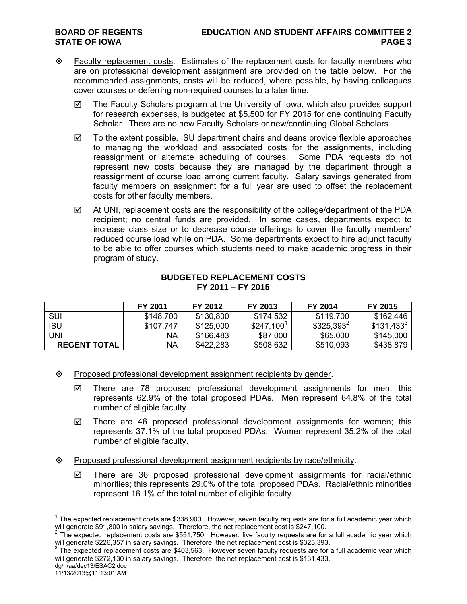- $\Diamond$  Faculty replacement costs. Estimates of the replacement costs for faculty members who are on professional development assignment are provided on the table below. For the recommended assignments, costs will be reduced, where possible, by having colleagues cover courses or deferring non-required courses to a later time.
	- $\boxtimes$  The Faculty Scholars program at the University of Iowa, which also provides support for research expenses, is budgeted at \$5,500 for FY 2015 for one continuing Faculty Scholar. There are no new Faculty Scholars or new/continuing Global Scholars.
	- $\boxtimes$  To the extent possible, ISU department chairs and deans provide flexible approaches to managing the workload and associated costs for the assignments, including reassignment or alternate scheduling of courses. Some PDA requests do not represent new costs because they are managed by the department through a reassignment of course load among current faculty. Salary savings generated from faculty members on assignment for a full year are used to offset the replacement costs for other faculty members.
	- $\boxtimes$  At UNI, replacement costs are the responsibility of the college/department of the PDA recipient; no central funds are provided. In some cases, departments expect to increase class size or to decrease course offerings to cover the faculty members' reduced course load while on PDA. Some departments expect to hire adjunct faculty to be able to offer courses which students need to make academic progress in their program of study.

# **BUDGETED REPLACEMENT COSTS FY 2011 – FY 2015**

|                     | FY 2011   | FY 2012   | FY 2013                 | FY 2014      | FY 2015      |
|---------------------|-----------|-----------|-------------------------|--------------|--------------|
| SUI                 | \$148,700 | \$130,800 | \$174,532               | \$119,700    | \$162,446    |
| <b>ISU</b>          | \$107,747 | \$125,000 | $$247,100$ <sup>1</sup> | $$325,393^2$ | $$131,433^3$ |
| UNI                 | NA        | \$166,483 | \$87,000                | \$65,000     | \$145,000    |
| <b>REGENT TOTAL</b> | NΑ        | \$422,283 | \$508,632               | \$510,093    | \$438,879    |

- $\diamond$  Proposed professional development assignment recipients by gender.
	- $\boxtimes$  There are 78 proposed professional development assignments for men; this represents 62.9% of the total proposed PDAs. Men represent 64.8% of the total number of eligible faculty.
	- $\boxtimes$  There are 46 proposed professional development assignments for women; this represents 37.1% of the total proposed PDAs. Women represent 35.2% of the total number of eligible faculty.
- $\diamond$  Proposed professional development assignment recipients by race/ethnicity.
	- $\boxtimes$  There are 36 proposed professional development assignments for racial/ethnic minorities; this represents 29.0% of the total proposed PDAs. Racial/ethnic minorities represent 16.1% of the total number of eligible faculty.

 $\overline{a}$ 

 $1$  The expected replacement costs are \$338,900. However, seven faculty requests are for a full academic year which will generate \$91,800 in salary savings. Therefore, the net replacement cost is \$247,100.<br><sup>2</sup> The expected replacement costs are \$551,750. However, five faculty requests are for a full academic year which

will generate \$226,357 in salary savings. Therefore, the net replacement cost is \$325,393.<br><sup>3</sup> The expected replacement costs are \$403,563. However seven faculty requests are for a full academic year which

will generate \$272,130 in salary savings. Therefore, the net replacement cost is \$131,433.

dg/h/aa/dec13/ESAC2.doc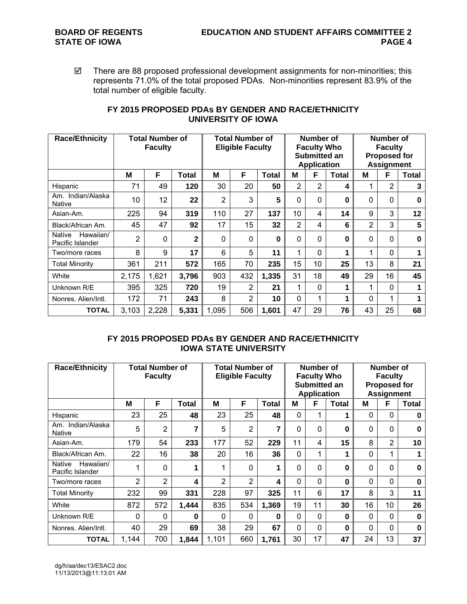$\boxtimes$  There are 88 proposed professional development assignments for non-minorities; this represents 71.0% of the total proposed PDAs. Non-minorities represent 83.9% of the total number of eligible faculty.

| <b>Race/Ethnicity</b>                   | <b>Total Number of</b><br><b>Faculty</b> |       |              | <b>Total Number of</b><br><b>Eligible Faculty</b> |     |              |                | Number of<br><b>Faculty Who</b><br>Submitted an<br><b>Application</b> |              | Number of<br><b>Faculty</b><br><b>Proposed for</b><br><b>Assignment</b> |                |              |
|-----------------------------------------|------------------------------------------|-------|--------------|---------------------------------------------------|-----|--------------|----------------|-----------------------------------------------------------------------|--------------|-------------------------------------------------------------------------|----------------|--------------|
|                                         | М                                        | F     | Total        | M                                                 | F   | <b>Total</b> | м              | F                                                                     | <b>Total</b> | М                                                                       | F              | <b>Total</b> |
| Hispanic                                | 71                                       | 49    | 120          | 30                                                | 20  | 50           | 2              | 2                                                                     | 4            |                                                                         | $\overline{2}$ | 3            |
| Am. Indian/Alaska<br><b>Native</b>      | 10                                       | 12    | 22           | $\overline{2}$                                    | 3   | 5            | 0              | $\mathbf{0}$                                                          | 0            | $\Omega$                                                                | 0              | 0            |
| Asian-Am.                               | 225                                      | 94    | 319          | 110                                               | 27  | 137          | 10             | 4                                                                     | 14           | 9                                                                       | 3              | 12           |
| Black/African Am.                       | 45                                       | 47    | 92           | 17                                                | 15  | 32           | $\overline{2}$ | 4                                                                     | 6            | $\overline{2}$                                                          | 3              | 5            |
| Hawaiian/<br>Native<br>Pacific Islander | 2                                        | 0     | $\mathbf{2}$ | $\mathbf 0$                                       | 0   | 0            | 0              | 0                                                                     | 0            | 0                                                                       | 0              | 0            |
| Two/more races                          | 8                                        | 9     | 17           | 6                                                 | 5   | 11           | 1              | 0                                                                     | 1            |                                                                         | 0              |              |
| <b>Total Minority</b>                   | 361                                      | 211   | 572          | 165                                               | 70  | 235          | 15             | 10                                                                    | 25           | 13                                                                      | 8              | 21           |
| White                                   | 2,175                                    | 1,621 | 3,796        | 903                                               | 432 | 1,335        | 31             | 18                                                                    | 49           | 29                                                                      | 16             | 45           |
| Unknown R/E                             | 395                                      | 325   | 720          | 19                                                | 2   | 21           | 1              | $\Omega$                                                              | 1            |                                                                         | 0              |              |
| Nonres, Alien/Intl.                     | 172                                      | 71    | 243          | 8                                                 | 2   | 10           | $\Omega$       | 1                                                                     | 1            | $\Omega$                                                                | 1              |              |
| <b>TOTAL</b>                            | 3,103                                    | 2,228 | 5,331        | 1,095                                             | 506 | 1,601        | 47             | 29                                                                    | 76           | 43                                                                      | 25             | 68           |

# **FY 2015 PROPOSED PDAs BY GENDER AND RACE/ETHNICITY UNIVERSITY OF IOWA**

# **FY 2015 PROPOSED PDAs BY GENDER AND RACE/ETHNICITY IOWA STATE UNIVERSITY**

| <b>Race/Ethnicity</b>                   | <b>Total Number of</b><br><b>Faculty</b> |                |              | <b>Total Number of</b><br><b>Eligible Faculty</b> |     |              |             | Number of<br><b>Faculty Who</b><br>Submitted an<br><b>Application</b> |       | Number of<br><b>Faculty</b><br><b>Proposed for</b><br><b>Assignment</b> |                 |              |
|-----------------------------------------|------------------------------------------|----------------|--------------|---------------------------------------------------|-----|--------------|-------------|-----------------------------------------------------------------------|-------|-------------------------------------------------------------------------|-----------------|--------------|
|                                         | М                                        | F              | <b>Total</b> | М                                                 | F   | <b>Total</b> | м           | F                                                                     | Total | м                                                                       | F               | <b>Total</b> |
| Hispanic                                | 23                                       | 25             | 48           | 23                                                | 25  | 48           | $\Omega$    | 1                                                                     |       | $\Omega$                                                                | $\Omega$        | 0            |
| Am. Indian/Alaska<br><b>Native</b>      | 5                                        | 2              | 7            | 5                                                 | 2   | 7            | 0           | 0                                                                     | 0     | 0                                                                       | $\mathbf{0}$    | 0            |
| Asian-Am.                               | 179                                      | 54             | 233          | 177                                               | 52  | 229          | 11          | 4                                                                     | 15    | 8                                                                       | $\overline{2}$  | 10           |
| Black/African Am.                       | 22                                       | 16             | 38           | 20                                                | 16  | 36           | 0           | 1                                                                     |       | 0                                                                       | 1               |              |
| Hawaiian/<br>Native<br>Pacific Islander |                                          | 0              | 1            | 1                                                 | 0   | 1            | 0           | 0                                                                     | 0     | 0                                                                       | $\Omega$        | 0            |
| Two/more races                          | 2                                        | $\overline{2}$ | 4            | 2                                                 | 2   | 4            | 0           | 0                                                                     | 0     | 0                                                                       | $\mathbf{0}$    | 0            |
| <b>Total Minority</b>                   | 232                                      | 99             | 331          | 228                                               | 97  | 325          | 11          | 6                                                                     | 17    | 8                                                                       | 3               | 11           |
| White                                   | 872                                      | 572            | 1,444        | 835                                               | 534 | 1,369        | 19          | 11                                                                    | 30    | 16                                                                      | 10 <sup>°</sup> | 26           |
| Unknown R/E                             | $\Omega$                                 | 0              | 0            | 0                                                 | 0   | 0            | 0           | 0                                                                     | 0     | 0                                                                       | $\mathbf{0}$    | $\bf{0}$     |
| Nonres, Alien/Intl.                     | 40                                       | 29             | 69           | 38                                                | 29  | 67           | $\mathbf 0$ | $\mathbf 0$                                                           | 0     | 0                                                                       | $\Omega$        | $\bf{0}$     |
| <b>TOTAL</b>                            | 1,144                                    | 700            | 1,844        | 1,101                                             | 660 | 1,761        | 30          | 17                                                                    | 47    | 24                                                                      | 13              | 37           |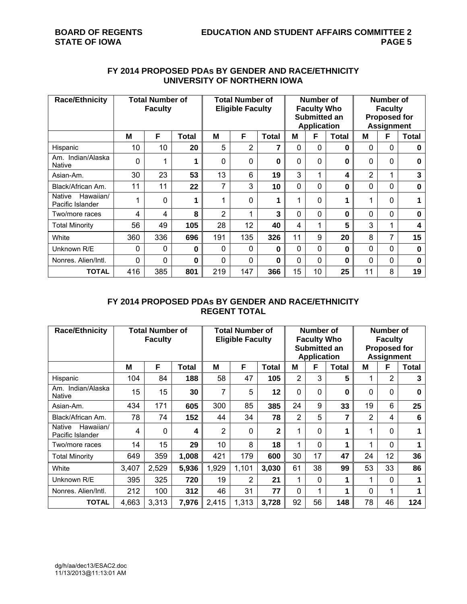# **FY 2014 PROPOSED PDAs BY GENDER AND RACE/ETHNICITY UNIVERSITY OF NORTHERN IOWA**

| <b>Race/Ethnicity</b>                          | <b>Total Number of</b><br><b>Faculty</b> |     |          | <b>Total Number of</b><br><b>Eligible Faculty</b> |                |              |    | Number of<br><b>Faculty Who</b><br>Submitted an<br><b>Application</b> |              | Number of<br><b>Faculty</b><br><b>Proposed for</b><br><b>Assignment</b> |              |              |
|------------------------------------------------|------------------------------------------|-----|----------|---------------------------------------------------|----------------|--------------|----|-----------------------------------------------------------------------|--------------|-------------------------------------------------------------------------|--------------|--------------|
|                                                | M                                        | F   | Total    | M                                                 | F              | <b>Total</b> | M  | F                                                                     | <b>Total</b> | M                                                                       | F            | <b>Total</b> |
| Hispanic                                       | 10                                       | 10  | 20       | 5                                                 | $\overline{2}$ | 7            | 0  | $\Omega$                                                              | 0            | $\Omega$                                                                | $\mathbf{0}$ | $\bf{0}$     |
| Am. Indian/Alaska<br><b>Native</b>             | 0                                        |     |          | 0                                                 | 0              | 0            | 0  | 0                                                                     | $\bf{0}$     | $\mathbf{0}$                                                            | 0            | 0            |
| Asian-Am.                                      | 30                                       | 23  | 53       | 13                                                | 6              | 19           | 3  | 1                                                                     | 4            | $\overline{2}$                                                          |              | 3            |
| Black/African Am.                              | 11                                       | 11  | 22       | 7                                                 | 3              | 10           | 0  | 0                                                                     | $\bf{0}$     | $\Omega$                                                                | $\Omega$     | $\bf{0}$     |
| Hawaiian/<br><b>Native</b><br>Pacific Islander |                                          | 0   |          | 1                                                 | 0              | 1            | 1  | 0                                                                     | 1            | ◢                                                                       | 0            |              |
| Two/more races                                 | 4                                        | 4   | 8        | $\overline{2}$                                    | 1              | 3            | 0  | 0                                                                     | 0            | $\Omega$                                                                | $\Omega$     | $\bf{0}$     |
| <b>Total Minority</b>                          | 56                                       | 49  | 105      | 28                                                | 12             | 40           | 4  | 1                                                                     | 5            | 3                                                                       | $\mathbf 1$  | 4            |
| White                                          | 360                                      | 336 | 696      | 191                                               | 135            | 326          | 11 | 9                                                                     | 20           | 8                                                                       | 7            | 15           |
| Unknown R/E                                    | 0                                        | 0   | $\bf{0}$ | $\Omega$                                          | 0              | $\bf{0}$     | 0  | 0                                                                     | 0            | $\Omega$                                                                | $\Omega$     | $\bf{0}$     |
| Nonres, Alien/Intl.                            | 0                                        | 0   | $\bf{0}$ | 0                                                 | 0              | 0            | 0  | 0                                                                     | $\bf{0}$     | $\mathbf{0}$                                                            | $\mathbf{0}$ | $\bf{0}$     |
| <b>TOTAL</b>                                   | 416                                      | 385 | 801      | 219                                               | 147            | 366          | 15 | 10                                                                    | 25           | 11                                                                      | 8            | 19           |

# **FY 2014 PROPOSED PDAs BY GENDER AND RACE/ETHNICITY REGENT TOTAL**

| <b>Race/Ethnicity</b>                   | <b>Total Number of</b><br><b>Faculty</b> |       |       | <b>Total Number of</b><br><b>Eligible Faculty</b> |       |              |    | Number of<br><b>Faculty Who</b><br>Submitted an<br><b>Application</b> |       | Number of<br><b>Faculty</b><br><b>Proposed for</b><br><b>Assignment</b> |                |              |
|-----------------------------------------|------------------------------------------|-------|-------|---------------------------------------------------|-------|--------------|----|-----------------------------------------------------------------------|-------|-------------------------------------------------------------------------|----------------|--------------|
|                                         | М                                        | F     | Total | M                                                 | F     | Total        | М  | F                                                                     | Total | М                                                                       | F              | <b>Total</b> |
| Hispanic                                | 104                                      | 84    | 188   | 58                                                | 47    | 105          | 2  | 3                                                                     | 5     | 1                                                                       | $\overline{2}$ | 3            |
| Am. Indian/Alaska<br><b>Native</b>      | 15                                       | 15    | 30    | 7                                                 | 5     | 12           | 0  | 0                                                                     | 0     | $\Omega$                                                                | $\mathbf 0$    | 0            |
| Asian-Am.                               | 434                                      | 171   | 605   | 300                                               | 85    | 385          | 24 | 9                                                                     | 33    | 19                                                                      | 6              | 25           |
| Black/African Am.                       | 78                                       | 74    | 152   | 44                                                | 34    | 78           | 2  | 5                                                                     | 7     | $\overline{2}$                                                          | 4              | 6            |
| Hawaiian/<br>Native<br>Pacific Islander | 4                                        | 0     | 4     | 2                                                 | 0     | $\mathbf{2}$ | 1  | 0                                                                     | 1     | 1                                                                       | $\mathbf 0$    |              |
| Two/more races                          | 14                                       | 15    | 29    | 10                                                | 8     | 18           | 1  | 0                                                                     | 1     | 1                                                                       | $\mathbf 0$    |              |
| <b>Total Minority</b>                   | 649                                      | 359   | 1,008 | 421                                               | 179   | 600          | 30 | 17                                                                    | 47    | 24                                                                      | 12             | 36           |
| White                                   | 3,407                                    | 2,529 | 5,936 | 1,929                                             | 1,101 | 3,030        | 61 | 38                                                                    | 99    | 53                                                                      | 33             | 86           |
| Unknown R/E                             | 395                                      | 325   | 720   | 19                                                | 2     | 21           | 1  | 0                                                                     | 1     | 1                                                                       | $\mathbf{0}$   |              |
| Nonres. Alien/Intl.                     | 212                                      | 100   | 312   | 46                                                | 31    | 77           | 0  | 1                                                                     | 1     | $\mathbf 0$                                                             | 1              |              |
| <b>TOTAL</b>                            | 4,663                                    | 3,313 | 7,976 | 2,415                                             | 1,313 | 3,728        | 92 | 56                                                                    | 148   | 78                                                                      | 46             | 124          |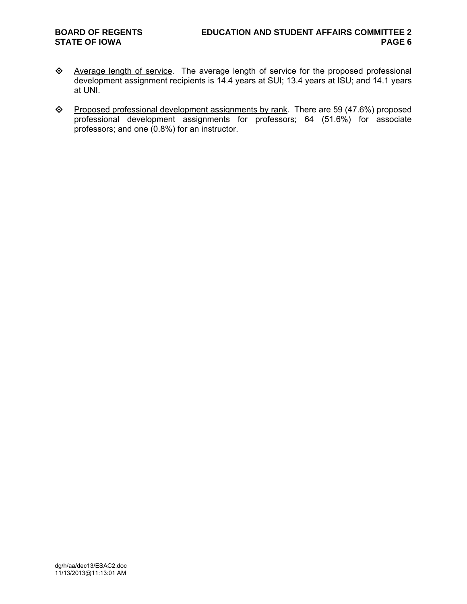- Average length of service. The average length of service for the proposed professional development assignment recipients is 14.4 years at SUI; 13.4 years at ISU; and 14.1 years at UNI.
- ◆ Proposed professional development assignments by rank. There are 59 (47.6%) proposed professional development assignments for professors; 64 (51.6%) for associate professors; and one (0.8%) for an instructor.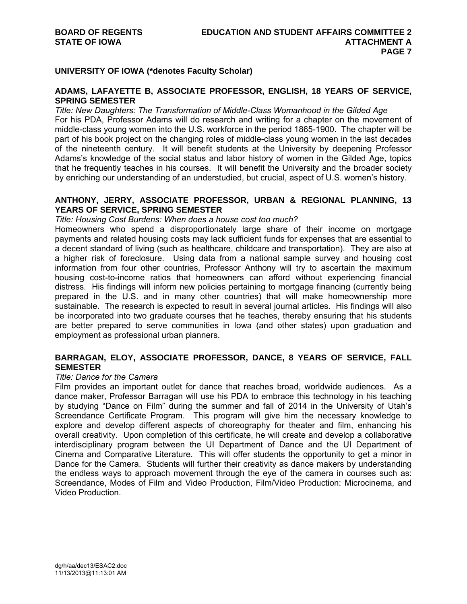# **UNIVERSITY OF IOWA (\*denotes Faculty Scholar)**

# **ADAMS, LAFAYETTE B, ASSOCIATE PROFESSOR, ENGLISH, 18 YEARS OF SERVICE, SPRING SEMESTER**

*Title: New Daughters: The Transformation of Middle-Class Womanhood in the Gilded Age*  For his PDA, Professor Adams will do research and writing for a chapter on the movement of middle-class young women into the U.S. workforce in the period 1865-1900. The chapter will be part of his book project on the changing roles of middle-class young women in the last decades of the nineteenth century. It will benefit students at the University by deepening Professor Adams's knowledge of the social status and labor history of women in the Gilded Age, topics that he frequently teaches in his courses. It will benefit the University and the broader society by enriching our understanding of an understudied, but crucial, aspect of U.S. women's history.

# **ANTHONY, JERRY, ASSOCIATE PROFESSOR, URBAN & REGIONAL PLANNING, 13 YEARS OF SERVICE, SPRING SEMESTER**

### *Title: Housing Cost Burdens: When does a house cost too much?*

Homeowners who spend a disproportionately large share of their income on mortgage payments and related housing costs may lack sufficient funds for expenses that are essential to a decent standard of living (such as healthcare, childcare and transportation). They are also at a higher risk of foreclosure. Using data from a national sample survey and housing cost information from four other countries, Professor Anthony will try to ascertain the maximum housing cost-to-income ratios that homeowners can afford without experiencing financial distress. His findings will inform new policies pertaining to mortgage financing (currently being prepared in the U.S. and in many other countries) that will make homeownership more sustainable. The research is expected to result in several journal articles. His findings will also be incorporated into two graduate courses that he teaches, thereby ensuring that his students are better prepared to serve communities in Iowa (and other states) upon graduation and employment as professional urban planners.

# **BARRAGAN, ELOY, ASSOCIATE PROFESSOR, DANCE, 8 YEARS OF SERVICE, FALL SEMESTER**

#### *Title: Dance for the Camera*

Film provides an important outlet for dance that reaches broad, worldwide audiences. As a dance maker, Professor Barragan will use his PDA to embrace this technology in his teaching by studying "Dance on Film" during the summer and fall of 2014 in the University of Utah's Screendance Certificate Program. This program will give him the necessary knowledge to explore and develop different aspects of choreography for theater and film, enhancing his overall creativity. Upon completion of this certificate, he will create and develop a collaborative interdisciplinary program between the UI Department of Dance and the UI Department of Cinema and Comparative Literature. This will offer students the opportunity to get a minor in Dance for the Camera. Students will further their creativity as dance makers by understanding the endless ways to approach movement through the eye of the camera in courses such as: Screendance, Modes of Film and Video Production, Film/Video Production: Microcinema, and Video Production.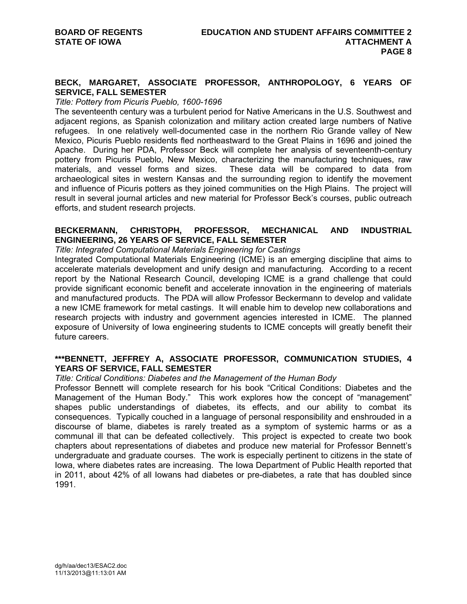# **BECK, MARGARET, ASSOCIATE PROFESSOR, ANTHROPOLOGY, 6 YEARS OF SERVICE, FALL SEMESTER**

## *Title: Pottery from Picuris Pueblo, 1600-1696*

The seventeenth century was a turbulent period for Native Americans in the U.S. Southwest and adjacent regions, as Spanish colonization and military action created large numbers of Native refugees. In one relatively well-documented case in the northern Rio Grande valley of New Mexico, Picuris Pueblo residents fled northeastward to the Great Plains in 1696 and joined the Apache. During her PDA, Professor Beck will complete her analysis of seventeenth-century pottery from Picuris Pueblo, New Mexico, characterizing the manufacturing techniques, raw materials, and vessel forms and sizes. These data will be compared to data from archaeological sites in western Kansas and the surrounding region to identify the movement and influence of Picuris potters as they joined communities on the High Plains. The project will result in several journal articles and new material for Professor Beck's courses, public outreach efforts, and student research projects.

# **BECKERMANN, CHRISTOPH, PROFESSOR, MECHANICAL AND INDUSTRIAL ENGINEERING, 26 YEARS OF SERVICE, FALL SEMESTER**

*Title: Integrated Computational Materials Engineering for Castings* 

Integrated Computational Materials Engineering (ICME) is an emerging discipline that aims to accelerate materials development and unify design and manufacturing. According to a recent report by the National Research Council, developing ICME is a grand challenge that could provide significant economic benefit and accelerate innovation in the engineering of materials and manufactured products. The PDA will allow Professor Beckermann to develop and validate a new ICME framework for metal castings. It will enable him to develop new collaborations and research projects with industry and government agencies interested in ICME. The planned exposure of University of Iowa engineering students to ICME concepts will greatly benefit their future careers.

# **\*\*\*BENNETT, JEFFREY A, ASSOCIATE PROFESSOR, COMMUNICATION STUDIES, 4 YEARS OF SERVICE, FALL SEMESTER**

# *Title: Critical Conditions: Diabetes and the Management of the Human Body*

Professor Bennett will complete research for his book "Critical Conditions: Diabetes and the Management of the Human Body." This work explores how the concept of "management" shapes public understandings of diabetes, its effects, and our ability to combat its consequences. Typically couched in a language of personal responsibility and enshrouded in a discourse of blame, diabetes is rarely treated as a symptom of systemic harms or as a communal ill that can be defeated collectively. This project is expected to create two book chapters about representations of diabetes and produce new material for Professor Bennett's undergraduate and graduate courses. The work is especially pertinent to citizens in the state of Iowa, where diabetes rates are increasing. The Iowa Department of Public Health reported that in 2011, about 42% of all Iowans had diabetes or pre-diabetes, a rate that has doubled since 1991.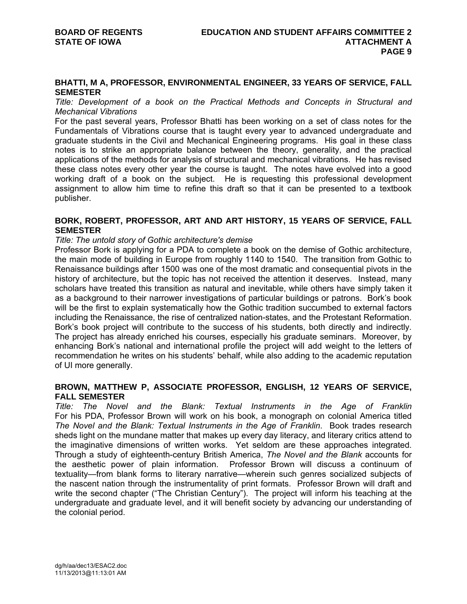## **BHATTI, M A, PROFESSOR, ENVIRONMENTAL ENGINEER, 33 YEARS OF SERVICE, FALL SEMESTER**

*Title: Development of a book on the Practical Methods and Concepts in Structural and Mechanical Vibrations* 

For the past several years, Professor Bhatti has been working on a set of class notes for the Fundamentals of Vibrations course that is taught every year to advanced undergraduate and graduate students in the Civil and Mechanical Engineering programs. His goal in these class notes is to strike an appropriate balance between the theory, generality, and the practical applications of the methods for analysis of structural and mechanical vibrations. He has revised these class notes every other year the course is taught. The notes have evolved into a good working draft of a book on the subject. He is requesting this professional development assignment to allow him time to refine this draft so that it can be presented to a textbook publisher.

# **BORK, ROBERT, PROFESSOR, ART AND ART HISTORY, 15 YEARS OF SERVICE, FALL SEMESTER**

### *Title: The untold story of Gothic architecture's demise*

Professor Bork is applying for a PDA to complete a book on the demise of Gothic architecture, the main mode of building in Europe from roughly 1140 to 1540. The transition from Gothic to Renaissance buildings after 1500 was one of the most dramatic and consequential pivots in the history of architecture, but the topic has not received the attention it deserves. Instead, many scholars have treated this transition as natural and inevitable, while others have simply taken it as a background to their narrower investigations of particular buildings or patrons. Bork's book will be the first to explain systematically how the Gothic tradition succumbed to external factors including the Renaissance, the rise of centralized nation-states, and the Protestant Reformation. Bork's book project will contribute to the success of his students, both directly and indirectly. The project has already enriched his courses, especially his graduate seminars. Moreover, by enhancing Bork's national and international profile the project will add weight to the letters of recommendation he writes on his students' behalf, while also adding to the academic reputation of UI more generally.

## **BROWN, MATTHEW P, ASSOCIATE PROFESSOR, ENGLISH, 12 YEARS OF SERVICE, FALL SEMESTER**

*Title: The Novel and the Blank: Textual Instruments in the Age of Franklin* For his PDA, Professor Brown will work on his book, a monograph on colonial America titled *The Novel and the Blank: Textual Instruments in the Age of Franklin*. Book trades research sheds light on the mundane matter that makes up every day literacy, and literary critics attend to the imaginative dimensions of written works. Yet seldom are these approaches integrated. Through a study of eighteenth-century British America, *The Novel and the Blank* accounts for the aesthetic power of plain information. Professor Brown will discuss a continuum of textuality—from blank forms to literary narrative—wherein such genres socialized subjects of the nascent nation through the instrumentality of print formats. Professor Brown will draft and write the second chapter ("The Christian Century"). The project will inform his teaching at the undergraduate and graduate level, and it will benefit society by advancing our understanding of the colonial period.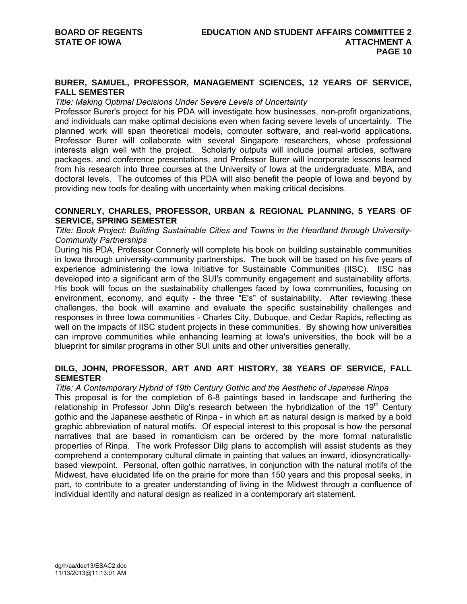## **BURER, SAMUEL, PROFESSOR, MANAGEMENT SCIENCES, 12 YEARS OF SERVICE, FALL SEMESTER**

### *Title: Making Optimal Decisions Under Severe Levels of Uncertainty*

Professor Burer's project for his PDA will investigate how businesses, non-profit organizations, and individuals can make optimal decisions even when facing severe levels of uncertainty. The planned work will span theoretical models, computer software, and real-world applications. Professor Burer will collaborate with several Singapore researchers, whose professional interests align well with the project. Scholarly outputs will include journal articles, software packages, and conference presentations, and Professor Burer will incorporate lessons learned from his research into three courses at the University of Iowa at the undergraduate, MBA, and doctoral levels. The outcomes of this PDA will also benefit the people of Iowa and beyond by providing new tools for dealing with uncertainty when making critical decisions.

## **CONNERLY, CHARLES, PROFESSOR, URBAN & REGIONAL PLANNING, 5 YEARS OF SERVICE, SPRING SEMESTER**

*Title: Book Project: Building Sustainable Cities and Towns in the Heartland through University-Community Partnerships* 

During his PDA, Professor Connerly will complete his book on building sustainable communities in Iowa through university-community partnerships. The book will be based on his five years of experience administering the Iowa Initiative for Sustainable Communities (IISC). IISC has developed into a significant arm of the SUI's community engagement and sustainability efforts. His book will focus on the sustainability challenges faced by Iowa communities, focusing on environment, economy, and equity - the three "E's" of sustainability. After reviewing these challenges, the book will examine and evaluate the specific sustainability challenges and responses in three Iowa communities - Charles City, Dubuque, and Cedar Rapids, reflecting as well on the impacts of IISC student projects in these communities. By showing how universities can improve communities while enhancing learning at Iowa's universities, the book will be a blueprint for similar programs in other SUI units and other universities generally.

# **DILG, JOHN, PROFESSOR, ART AND ART HISTORY, 38 YEARS OF SERVICE, FALL SEMESTER**

#### *Title: A Contemporary Hybrid of 19th Century Gothic and the Aesthetic of Japanese Rinpa*

This proposal is for the completion of 6-8 paintings based in landscape and furthering the relationship in Professor John Dilg's research between the hybridization of the 19<sup>th</sup> Century gothic and the Japanese aesthetic of Rinpa - in which art as natural design is marked by a bold graphic abbreviation of natural motifs. Of especial interest to this proposal is how the personal narratives that are based in romanticism can be ordered by the more formal naturalistic properties of Rinpa. The work Professor Dilg plans to accomplish will assist students as they comprehend a contemporary cultural climate in painting that values an inward, idiosyncraticallybased viewpoint. Personal, often gothic narratives, in conjunction with the natural motifs of the Midwest, have elucidated life on the prairie for more than 150 years and this proposal seeks, in part, to contribute to a greater understanding of living in the Midwest through a confluence of individual identity and natural design as realized in a contemporary art statement.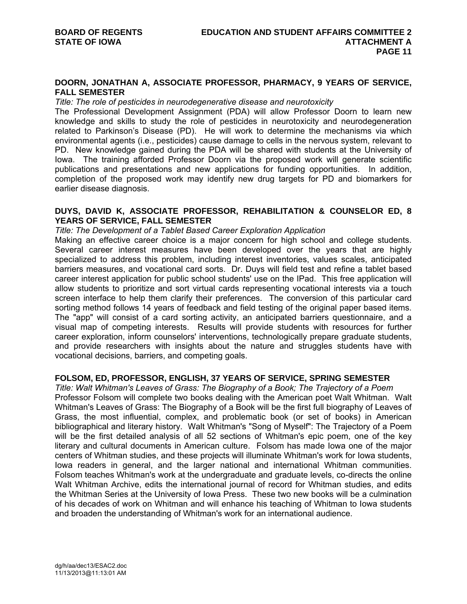## **DOORN, JONATHAN A, ASSOCIATE PROFESSOR, PHARMACY, 9 YEARS OF SERVICE, FALL SEMESTER**

#### *Title: The role of pesticides in neurodegenerative disease and neurotoxicity*

The Professional Development Assignment (PDA) will allow Professor Doorn to learn new knowledge and skills to study the role of pesticides in neurotoxicity and neurodegeneration related to Parkinson's Disease (PD). He will work to determine the mechanisms via which environmental agents (i.e., pesticides) cause damage to cells in the nervous system, relevant to PD. New knowledge gained during the PDA will be shared with students at the University of Iowa. The training afforded Professor Doorn via the proposed work will generate scientific publications and presentations and new applications for funding opportunities. In addition, completion of the proposed work may identify new drug targets for PD and biomarkers for earlier disease diagnosis.

# **DUYS, DAVID K, ASSOCIATE PROFESSOR, REHABILITATION & COUNSELOR ED, 8 YEARS OF SERVICE, FALL SEMESTER**

### *Title: The Development of a Tablet Based Career Exploration Application*

Making an effective career choice is a major concern for high school and college students. Several career interest measures have been developed over the years that are highly specialized to address this problem, including interest inventories, values scales, anticipated barriers measures, and vocational card sorts. Dr. Duys will field test and refine a tablet based career interest application for public school students' use on the IPad. This free application will allow students to prioritize and sort virtual cards representing vocational interests via a touch screen interface to help them clarify their preferences. The conversion of this particular card sorting method follows 14 years of feedback and field testing of the original paper based items. The "app" will consist of a card sorting activity, an anticipated barriers questionnaire, and a visual map of competing interests. Results will provide students with resources for further career exploration, inform counselors' interventions, technologically prepare graduate students, and provide researchers with insights about the nature and struggles students have with vocational decisions, barriers, and competing goals.

## **FOLSOM, ED, PROFESSOR, ENGLISH, 37 YEARS OF SERVICE, SPRING SEMESTER**

*Title: Walt Whitman's Leaves of Grass: The Biography of a Book; The Trajectory of a Poem*  Professor Folsom will complete two books dealing with the American poet Walt Whitman. Walt Whitman's Leaves of Grass: The Biography of a Book will be the first full biography of Leaves of Grass, the most influential, complex, and problematic book (or set of books) in American bibliographical and literary history. Walt Whitman's "Song of Myself": The Trajectory of a Poem will be the first detailed analysis of all 52 sections of Whitman's epic poem, one of the key literary and cultural documents in American culture. Folsom has made Iowa one of the major centers of Whitman studies, and these projects will illuminate Whitman's work for Iowa students, Iowa readers in general, and the larger national and international Whitman communities. Folsom teaches Whitman's work at the undergraduate and graduate levels, co-directs the online Walt Whitman Archive, edits the international journal of record for Whitman studies, and edits the Whitman Series at the University of Iowa Press. These two new books will be a culmination of his decades of work on Whitman and will enhance his teaching of Whitman to Iowa students and broaden the understanding of Whitman's work for an international audience.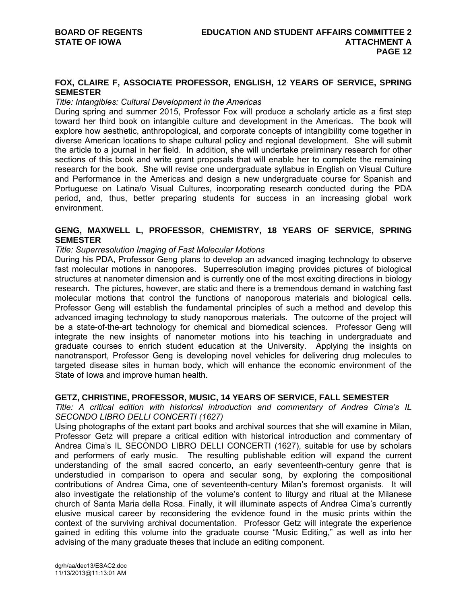# **FOX, CLAIRE F, ASSOCIATE PROFESSOR, ENGLISH, 12 YEARS OF SERVICE, SPRING SEMESTER**

#### *Title: Intangibles: Cultural Development in the Americas*

During spring and summer 2015, Professor Fox will produce a scholarly article as a first step toward her third book on intangible culture and development in the Americas. The book will explore how aesthetic, anthropological, and corporate concepts of intangibility come together in diverse American locations to shape cultural policy and regional development. She will submit the article to a journal in her field. In addition, she will undertake preliminary research for other sections of this book and write grant proposals that will enable her to complete the remaining research for the book. She will revise one undergraduate syllabus in English on Visual Culture and Performance in the Americas and design a new undergraduate course for Spanish and Portuguese on Latina/o Visual Cultures, incorporating research conducted during the PDA period, and, thus, better preparing students for success in an increasing global work environment.

# **GENG, MAXWELL L, PROFESSOR, CHEMISTRY, 18 YEARS OF SERVICE, SPRING SEMESTER**

### *Title: Superresolution Imaging of Fast Molecular Motions*

During his PDA, Professor Geng plans to develop an advanced imaging technology to observe fast molecular motions in nanopores. Superresolution imaging provides pictures of biological structures at nanometer dimension and is currently one of the most exciting directions in biology research. The pictures, however, are static and there is a tremendous demand in watching fast molecular motions that control the functions of nanoporous materials and biological cells. Professor Geng will establish the fundamental principles of such a method and develop this advanced imaging technology to study nanoporous materials. The outcome of the project will be a state-of-the-art technology for chemical and biomedical sciences. Professor Geng will integrate the new insights of nanometer motions into his teaching in undergraduate and graduate courses to enrich student education at the University. Applying the insights on nanotransport, Professor Geng is developing novel vehicles for delivering drug molecules to targeted disease sites in human body, which will enhance the economic environment of the State of Iowa and improve human health.

## **GETZ, CHRISTINE, PROFESSOR, MUSIC, 14 YEARS OF SERVICE, FALL SEMESTER**

*Title: A critical edition with historical introduction and commentary of Andrea Cima's IL SECONDO LIBRO DELLI CONCERTI (1627)* 

Using photographs of the extant part books and archival sources that she will examine in Milan, Professor Getz will prepare a critical edition with historical introduction and commentary of Andrea Cima's IL SECONDO LIBRO DELLI CONCERTI (1627), suitable for use by scholars and performers of early music. The resulting publishable edition will expand the current understanding of the small sacred concerto, an early seventeenth-century genre that is understudied in comparison to opera and secular song, by exploring the compositional contributions of Andrea Cima, one of seventeenth-century Milan's foremost organists. It will also investigate the relationship of the volume's content to liturgy and ritual at the Milanese church of Santa Maria della Rosa. Finally, it will illuminate aspects of Andrea Cima's currently elusive musical career by reconsidering the evidence found in the music prints within the context of the surviving archival documentation. Professor Getz will integrate the experience gained in editing this volume into the graduate course "Music Editing," as well as into her advising of the many graduate theses that include an editing component.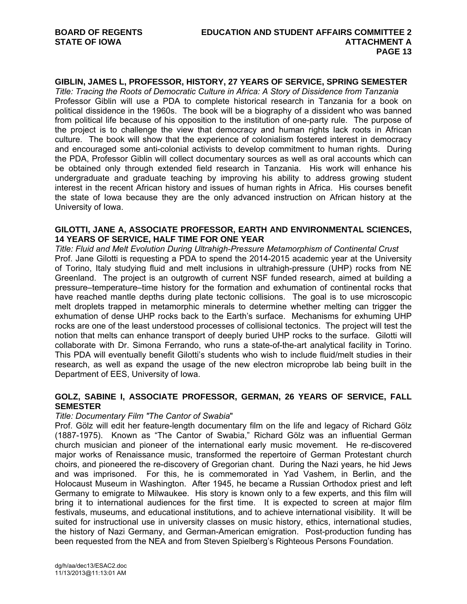# **GIBLIN, JAMES L, PROFESSOR, HISTORY, 27 YEARS OF SERVICE, SPRING SEMESTER**

*Title: Tracing the Roots of Democratic Culture in Africa: A Story of Dissidence from Tanzania*  Professor Giblin will use a PDA to complete historical research in Tanzania for a book on political dissidence in the 1960s. The book will be a biography of a dissident who was banned from political life because of his opposition to the institution of one-party rule. The purpose of the project is to challenge the view that democracy and human rights lack roots in African culture. The book will show that the experience of colonialism fostered interest in democracy and encouraged some anti-colonial activists to develop commitment to human rights. During the PDA, Professor Giblin will collect documentary sources as well as oral accounts which can be obtained only through extended field research in Tanzania. His work will enhance his undergraduate and graduate teaching by improving his ability to address growing student interest in the recent African history and issues of human rights in Africa. His courses benefit the state of Iowa because they are the only advanced instruction on African history at the University of Iowa.

## **GILOTTI, JANE A, ASSOCIATE PROFESSOR, EARTH AND ENVIRONMENTAL SCIENCES, 14 YEARS OF SERVICE, HALF TIME FOR ONE YEAR**

*Title: Fluid and Melt Evolution During Ultrahigh-Pressure Metamorphism of Continental Crust*  Prof. Jane Gilotti is requesting a PDA to spend the 2014-2015 academic year at the University of Torino, Italy studying fluid and melt inclusions in ultrahigh-pressure (UHP) rocks from NE Greenland. The project is an outgrowth of current NSF funded research, aimed at building a pressure–temperature–time history for the formation and exhumation of continental rocks that have reached mantle depths during plate tectonic collisions. The goal is to use microscopic melt droplets trapped in metamorphic minerals to determine whether melting can trigger the exhumation of dense UHP rocks back to the Earth's surface. Mechanisms for exhuming UHP rocks are one of the least understood processes of collisional tectonics. The project will test the notion that melts can enhance transport of deeply buried UHP rocks to the surface. Gilotti will collaborate with Dr. Simona Ferrando, who runs a state-of-the-art analytical facility in Torino. This PDA will eventually benefit Gilotti's students who wish to include fluid/melt studies in their research, as well as expand the usage of the new electron microprobe lab being built in the Department of EES, University of Iowa.

# **GOLZ, SABINE I, ASSOCIATE PROFESSOR, GERMAN, 26 YEARS OF SERVICE, FALL SEMESTER**

#### *Title: Documentary Film "The Cantor of Swabia*"

Prof. Gölz will edit her feature-length documentary film on the life and legacy of Richard Gölz (1887-1975). Known as "The Cantor of Swabia," Richard Gölz was an influential German church musician and pioneer of the international early music movement. He re-discovered major works of Renaissance music, transformed the repertoire of German Protestant church choirs, and pioneered the re-discovery of Gregorian chant. During the Nazi years, he hid Jews and was imprisoned. For this, he is commemorated in Yad Vashem, in Berlin, and the Holocaust Museum in Washington. After 1945, he became a Russian Orthodox priest and left Germany to emigrate to Milwaukee. His story is known only to a few experts, and this film will bring it to international audiences for the first time. It is expected to screen at major film festivals, museums, and educational institutions, and to achieve international visibility. It will be suited for instructional use in university classes on music history, ethics, international studies, the history of Nazi Germany, and German-American emigration. Post-production funding has been requested from the NEA and from Steven Spielberg's Righteous Persons Foundation.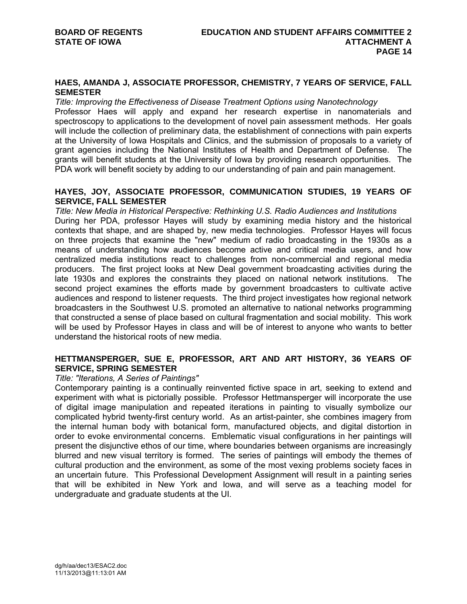# **HAES, AMANDA J, ASSOCIATE PROFESSOR, CHEMISTRY, 7 YEARS OF SERVICE, FALL SEMESTER**

*Title: Improving the Effectiveness of Disease Treatment Options using Nanotechnology*  Professor Haes will apply and expand her research expertise in nanomaterials and spectroscopy to applications to the development of novel pain assessment methods. Her goals will include the collection of preliminary data, the establishment of connections with pain experts at the University of Iowa Hospitals and Clinics, and the submission of proposals to a variety of grant agencies including the National Institutes of Health and Department of Defense. The grants will benefit students at the University of Iowa by providing research opportunities. The PDA work will benefit society by adding to our understanding of pain and pain management.

## **HAYES, JOY, ASSOCIATE PROFESSOR, COMMUNICATION STUDIES, 19 YEARS OF SERVICE, FALL SEMESTER**

*Title: New Media in Historical Perspective: Rethinking U.S. Radio Audiences and Institutions*  During her PDA, professor Hayes will study by examining media history and the historical contexts that shape, and are shaped by, new media technologies. Professor Hayes will focus on three projects that examine the "new" medium of radio broadcasting in the 1930s as a means of understanding how audiences become active and critical media users, and how centralized media institutions react to challenges from non-commercial and regional media producers. The first project looks at New Deal government broadcasting activities during the late 1930s and explores the constraints they placed on national network institutions. The second project examines the efforts made by government broadcasters to cultivate active audiences and respond to listener requests. The third project investigates how regional network broadcasters in the Southwest U.S. promoted an alternative to national networks programming that constructed a sense of place based on cultural fragmentation and social mobility. This work will be used by Professor Hayes in class and will be of interest to anyone who wants to better understand the historical roots of new media.

# **HETTMANSPERGER, SUE E, PROFESSOR, ART AND ART HISTORY, 36 YEARS OF SERVICE, SPRING SEMESTER**

## *Title: "Iterations, A Series of Paintings"*

Contemporary painting is a continually reinvented fictive space in art, seeking to extend and experiment with what is pictorially possible. Professor Hettmansperger will incorporate the use of digital image manipulation and repeated iterations in painting to visually symbolize our complicated hybrid twenty-first century world. As an artist-painter, she combines imagery from the internal human body with botanical form, manufactured objects, and digital distortion in order to evoke environmental concerns. Emblematic visual configurations in her paintings will present the disjunctive ethos of our time, where boundaries between organisms are increasingly blurred and new visual territory is formed. The series of paintings will embody the themes of cultural production and the environment, as some of the most vexing problems society faces in an uncertain future. This Professional Development Assignment will result in a painting series that will be exhibited in New York and Iowa, and will serve as a teaching model for undergraduate and graduate students at the UI.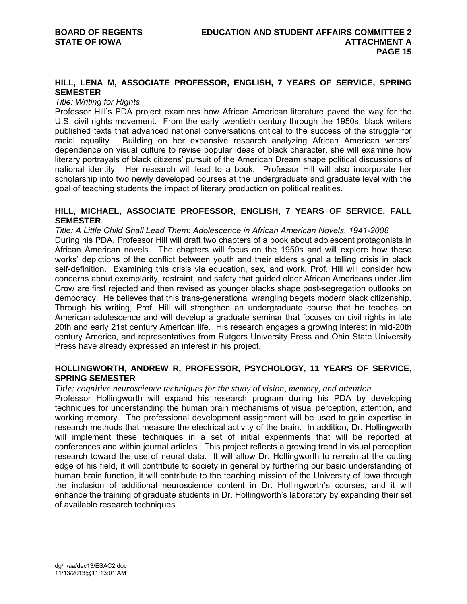# **HILL, LENA M, ASSOCIATE PROFESSOR, ENGLISH, 7 YEARS OF SERVICE, SPRING SEMESTER**

#### *Title: Writing for Rights*

Professor Hill's PDA project examines how African American literature paved the way for the U.S. civil rights movement. From the early twentieth century through the 1950s, black writers published texts that advanced national conversations critical to the success of the struggle for racial equality. Building on her expansive research analyzing African American writers' dependence on visual culture to revise popular ideas of black character, she will examine how literary portrayals of black citizens' pursuit of the American Dream shape political discussions of national identity. Her research will lead to a book. Professor Hill will also incorporate her scholarship into two newly developed courses at the undergraduate and graduate level with the goal of teaching students the impact of literary production on political realities.

# **HILL, MICHAEL, ASSOCIATE PROFESSOR, ENGLISH, 7 YEARS OF SERVICE, FALL SEMESTER**

*Title: A Little Child Shall Lead Them: Adolescence in African American Novels, 1941-2008*  During his PDA, Professor Hill will draft two chapters of a book about adolescent protagonists in African American novels. The chapters will focus on the 1950s and will explore how these works' depictions of the conflict between youth and their elders signal a telling crisis in black self-definition. Examining this crisis via education, sex, and work, Prof. Hill will consider how concerns about exemplarity, restraint, and safety that guided older African Americans under Jim Crow are first rejected and then revised as younger blacks shape post-segregation outlooks on democracy. He believes that this trans-generational wrangling begets modern black citizenship. Through his writing, Prof. Hill will strengthen an undergraduate course that he teaches on American adolescence and will develop a graduate seminar that focuses on civil rights in late 20th and early 21st century American life. His research engages a growing interest in mid-20th century America, and representatives from Rutgers University Press and Ohio State University Press have already expressed an interest in his project.

# **HOLLINGWORTH, ANDREW R, PROFESSOR, PSYCHOLOGY, 11 YEARS OF SERVICE, SPRING SEMESTER**

#### *Title: cognitive neuroscience techniques for the study of vision, memory, and attention*

Professor Hollingworth will expand his research program during his PDA by developing techniques for understanding the human brain mechanisms of visual perception, attention, and working memory. The professional development assignment will be used to gain expertise in research methods that measure the electrical activity of the brain. In addition, Dr. Hollingworth will implement these techniques in a set of initial experiments that will be reported at conferences and within journal articles. This project reflects a growing trend in visual perception research toward the use of neural data. It will allow Dr. Hollingworth to remain at the cutting edge of his field, it will contribute to society in general by furthering our basic understanding of human brain function, it will contribute to the teaching mission of the University of Iowa through the inclusion of additional neuroscience content in Dr. Hollingworth's courses, and it will enhance the training of graduate students in Dr. Hollingworth's laboratory by expanding their set of available research techniques.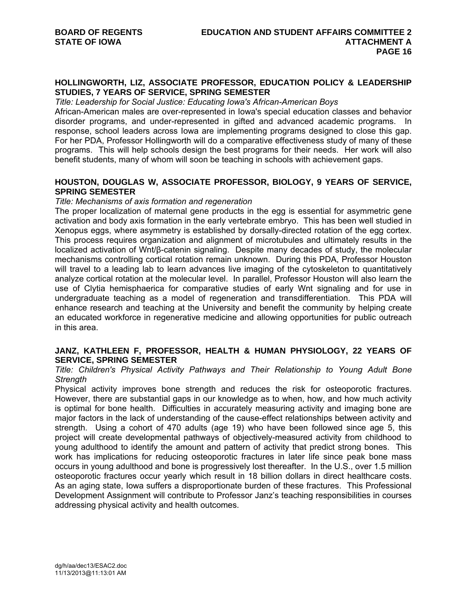# **HOLLINGWORTH, LIZ, ASSOCIATE PROFESSOR, EDUCATION POLICY & LEADERSHIP STUDIES, 7 YEARS OF SERVICE, SPRING SEMESTER**

#### *Title: Leadership for Social Justice: Educating Iowa's African-American Boys*

African-American males are over-represented in Iowa's special education classes and behavior disorder programs, and under-represented in gifted and advanced academic programs. In response, school leaders across Iowa are implementing programs designed to close this gap. For her PDA, Professor Hollingworth will do a comparative effectiveness study of many of these programs. This will help schools design the best programs for their needs. Her work will also benefit students, many of whom will soon be teaching in schools with achievement gaps.

# **HOUSTON, DOUGLAS W, ASSOCIATE PROFESSOR, BIOLOGY, 9 YEARS OF SERVICE, SPRING SEMESTER**

### *Title: Mechanisms of axis formation and regeneration*

The proper localization of maternal gene products in the egg is essential for asymmetric gene activation and body axis formation in the early vertebrate embryo. This has been well studied in Xenopus eggs, where asymmetry is established by dorsally-directed rotation of the egg cortex. This process requires organization and alignment of microtubules and ultimately results in the localized activation of Wnt/β-catenin signaling. Despite many decades of study, the molecular mechanisms controlling cortical rotation remain unknown. During this PDA, Professor Houston will travel to a leading lab to learn advances live imaging of the cytoskeleton to quantitatively analyze cortical rotation at the molecular level. In parallel, Professor Houston will also learn the use of Clytia hemisphaerica for comparative studies of early Wnt signaling and for use in undergraduate teaching as a model of regeneration and transdifferentiation. This PDA will enhance research and teaching at the University and benefit the community by helping create an educated workforce in regenerative medicine and allowing opportunities for public outreach in this area.

## **JANZ, KATHLEEN F, PROFESSOR, HEALTH & HUMAN PHYSIOLOGY, 22 YEARS OF SERVICE, SPRING SEMESTER**

# *Title: Children's Physical Activity Pathways and Their Relationship to Young Adult Bone Strength*

Physical activity improves bone strength and reduces the risk for osteoporotic fractures. However, there are substantial gaps in our knowledge as to when, how, and how much activity is optimal for bone health. Difficulties in accurately measuring activity and imaging bone are major factors in the lack of understanding of the cause-effect relationships between activity and strength. Using a cohort of 470 adults (age 19) who have been followed since age 5, this project will create developmental pathways of objectively-measured activity from childhood to young adulthood to identify the amount and pattern of activity that predict strong bones. This work has implications for reducing osteoporotic fractures in later life since peak bone mass occurs in young adulthood and bone is progressively lost thereafter. In the U.S., over 1.5 million osteoporotic fractures occur yearly which result in 18 billion dollars in direct healthcare costs. As an aging state, Iowa suffers a disproportionate burden of these fractures. This Professional Development Assignment will contribute to Professor Janz's teaching responsibilities in courses addressing physical activity and health outcomes.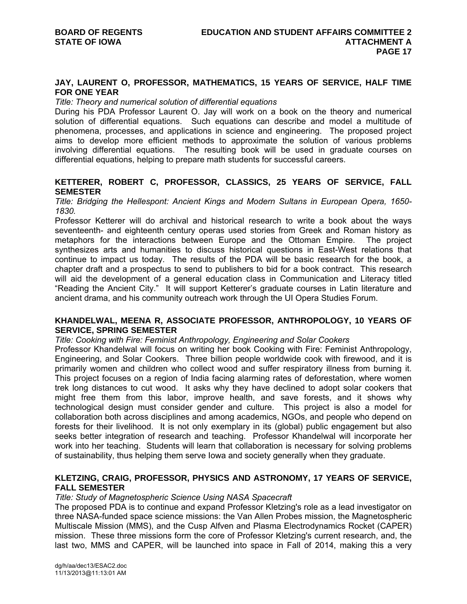## **JAY, LAURENT O, PROFESSOR, MATHEMATICS, 15 YEARS OF SERVICE, HALF TIME FOR ONE YEAR**

## *Title: Theory and numerical solution of differential equations*

During his PDA Professor Laurent O. Jay will work on a book on the theory and numerical solution of differential equations. Such equations can describe and model a multitude of phenomena, processes, and applications in science and engineering. The proposed project aims to develop more efficient methods to approximate the solution of various problems involving differential equations. The resulting book will be used in graduate courses on differential equations, helping to prepare math students for successful careers.

# **KETTERER, ROBERT C, PROFESSOR, CLASSICS, 25 YEARS OF SERVICE, FALL SEMESTER**

*Title: Bridging the Hellespont: Ancient Kings and Modern Sultans in European Opera, 1650- 1830.* 

Professor Ketterer will do archival and historical research to write a book about the ways seventeenth- and eighteenth century operas used stories from Greek and Roman history as metaphors for the interactions between Europe and the Ottoman Empire. The project synthesizes arts and humanities to discuss historical questions in East-West relations that continue to impact us today. The results of the PDA will be basic research for the book, a chapter draft and a prospectus to send to publishers to bid for a book contract. This research will aid the development of a general education class in Communication and Literacy titled "Reading the Ancient City." It will support Ketterer's graduate courses in Latin literature and ancient drama, and his community outreach work through the UI Opera Studies Forum.

# **KHANDELWAL, MEENA R, ASSOCIATE PROFESSOR, ANTHROPOLOGY, 10 YEARS OF SERVICE, SPRING SEMESTER**

*Title: Cooking with Fire: Feminist Anthropology, Engineering and Solar Cookers* 

Professor Khandelwal will focus on writing her book Cooking with Fire: Feminist Anthropology, Engineering, and Solar Cookers. Three billion people worldwide cook with firewood, and it is primarily women and children who collect wood and suffer respiratory illness from burning it. This project focuses on a region of India facing alarming rates of deforestation, where women trek long distances to cut wood. It asks why they have declined to adopt solar cookers that might free them from this labor, improve health, and save forests, and it shows why technological design must consider gender and culture. This project is also a model for collaboration both across disciplines and among academics, NGOs, and people who depend on forests for their livelihood. It is not only exemplary in its (global) public engagement but also seeks better integration of research and teaching. Professor Khandelwal will incorporate her work into her teaching. Students will learn that collaboration is necessary for solving problems of sustainability, thus helping them serve Iowa and society generally when they graduate.

# **KLETZING, CRAIG, PROFESSOR, PHYSICS AND ASTRONOMY, 17 YEARS OF SERVICE, FALL SEMESTER**

## *Title: Study of Magnetospheric Science Using NASA Spacecraft*

The proposed PDA is to continue and expand Professor Kletzing's role as a lead investigator on three NASA-funded space science missions: the Van Allen Probes mission, the Magnetospheric Multiscale Mission (MMS), and the Cusp Alfven and Plasma Electrodynamics Rocket (CAPER) mission. These three missions form the core of Professor Kletzing's current research, and, the last two, MMS and CAPER, will be launched into space in Fall of 2014, making this a very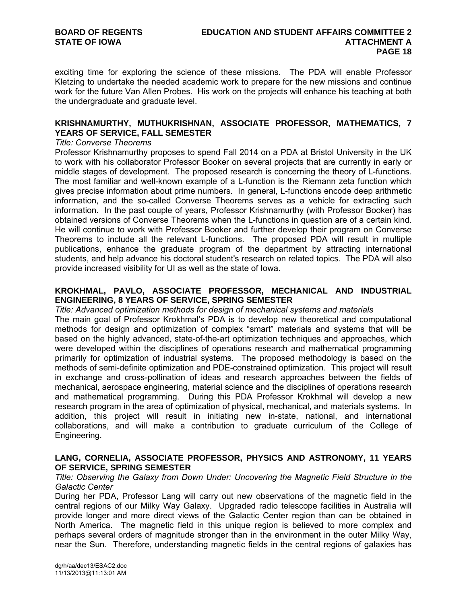exciting time for exploring the science of these missions. The PDA will enable Professor Kletzing to undertake the needed academic work to prepare for the new missions and continue work for the future Van Allen Probes. His work on the projects will enhance his teaching at both the undergraduate and graduate level.

# **KRISHNAMURTHY, MUTHUKRISHNAN, ASSOCIATE PROFESSOR, MATHEMATICS, 7 YEARS OF SERVICE, FALL SEMESTER**

### *Title: Converse Theorems*

Professor Krishnamurthy proposes to spend Fall 2014 on a PDA at Bristol University in the UK to work with his collaborator Professor Booker on several projects that are currently in early or middle stages of development. The proposed research is concerning the theory of L-functions. The most familiar and well-known example of a L-function is the Riemann zeta function which gives precise information about prime numbers. In general, L-functions encode deep arithmetic information, and the so-called Converse Theorems serves as a vehicle for extracting such information. In the past couple of years, Professor Krishnamurthy (with Professor Booker) has obtained versions of Converse Theorems when the L-functions in question are of a certain kind. He will continue to work with Professor Booker and further develop their program on Converse Theorems to include all the relevant L-functions. The proposed PDA will result in multiple publications, enhance the graduate program of the department by attracting international students, and help advance his doctoral student's research on related topics. The PDA will also provide increased visibility for UI as well as the state of Iowa.

# **KROKHMAL, PAVLO, ASSOCIATE PROFESSOR, MECHANICAL AND INDUSTRIAL ENGINEERING, 8 YEARS OF SERVICE, SPRING SEMESTER**

*Title: Advanced optimization methods for design of mechanical systems and materials* 

The main goal of Professor Krokhmal's PDA is to develop new theoretical and computational methods for design and optimization of complex "smart" materials and systems that will be based on the highly advanced, state-of-the-art optimization techniques and approaches, which were developed within the disciplines of operations research and mathematical programming primarily for optimization of industrial systems. The proposed methodology is based on the methods of semi-definite optimization and PDE-constrained optimization. This project will result in exchange and cross-pollination of ideas and research approaches between the fields of mechanical, aerospace engineering, material science and the disciplines of operations research and mathematical programming. During this PDA Professor Krokhmal will develop a new research program in the area of optimization of physical, mechanical, and materials systems. In addition, this project will result in initiating new in-state, national, and international collaborations, and will make a contribution to graduate curriculum of the College of Engineering.

# **LANG, CORNELIA, ASSOCIATE PROFESSOR, PHYSICS AND ASTRONOMY, 11 YEARS OF SERVICE, SPRING SEMESTER**

## *Title: Observing the Galaxy from Down Under: Uncovering the Magnetic Field Structure in the Galactic Center*

During her PDA, Professor Lang will carry out new observations of the magnetic field in the central regions of our Milky Way Galaxy. Upgraded radio telescope facilities in Australia will provide longer and more direct views of the Galactic Center region than can be obtained in North America. The magnetic field in this unique region is believed to more complex and perhaps several orders of magnitude stronger than in the environment in the outer Milky Way, near the Sun. Therefore, understanding magnetic fields in the central regions of galaxies has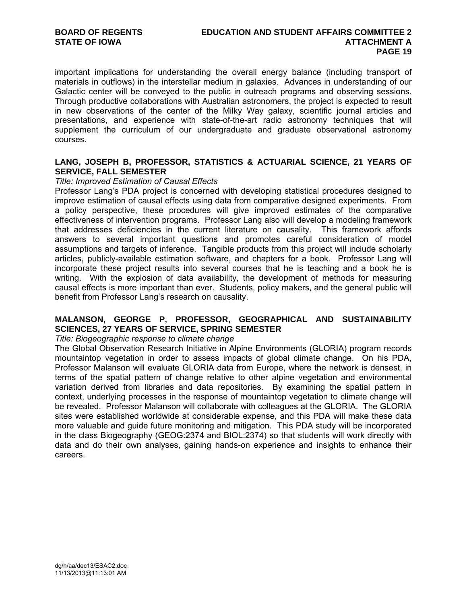important implications for understanding the overall energy balance (including transport of materials in outflows) in the interstellar medium in galaxies. Advances in understanding of our Galactic center will be conveyed to the public in outreach programs and observing sessions. Through productive collaborations with Australian astronomers, the project is expected to result in new observations of the center of the Milky Way galaxy, scientific journal articles and presentations, and experience with state-of-the-art radio astronomy techniques that will supplement the curriculum of our undergraduate and graduate observational astronomy courses.

# **LANG, JOSEPH B, PROFESSOR, STATISTICS & ACTUARIAL SCIENCE, 21 YEARS OF SERVICE, FALL SEMESTER**

## *Title: Improved Estimation of Causal Effects*

Professor Lang's PDA project is concerned with developing statistical procedures designed to improve estimation of causal effects using data from comparative designed experiments. From a policy perspective, these procedures will give improved estimates of the comparative effectiveness of intervention programs. Professor Lang also will develop a modeling framework that addresses deficiencies in the current literature on causality. This framework affords answers to several important questions and promotes careful consideration of model assumptions and targets of inference. Tangible products from this project will include scholarly articles, publicly-available estimation software, and chapters for a book. Professor Lang will incorporate these project results into several courses that he is teaching and a book he is writing. With the explosion of data availability, the development of methods for measuring causal effects is more important than ever. Students, policy makers, and the general public will benefit from Professor Lang's research on causality.

# **MALANSON, GEORGE P, PROFESSOR, GEOGRAPHICAL AND SUSTAINABILITY SCIENCES, 27 YEARS OF SERVICE, SPRING SEMESTER**

*Title: Biogeographic response to climate change* 

The Global Observation Research Initiative in Alpine Environments (GLORIA) program records mountaintop vegetation in order to assess impacts of global climate change. On his PDA, Professor Malanson will evaluate GLORIA data from Europe, where the network is densest, in terms of the spatial pattern of change relative to other alpine vegetation and environmental variation derived from libraries and data repositories. By examining the spatial pattern in context, underlying processes in the response of mountaintop vegetation to climate change will be revealed. Professor Malanson will collaborate with colleagues at the GLORIA. The GLORIA sites were established worldwide at considerable expense, and this PDA will make these data more valuable and guide future monitoring and mitigation. This PDA study will be incorporated in the class Biogeography (GEOG:2374 and BIOL:2374) so that students will work directly with data and do their own analyses, gaining hands-on experience and insights to enhance their careers.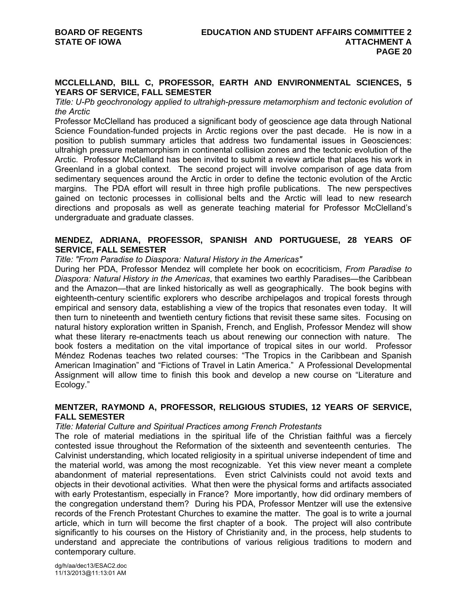## **MCCLELLAND, BILL C, PROFESSOR, EARTH AND ENVIRONMENTAL SCIENCES, 5 YEARS OF SERVICE, FALL SEMESTER**

*Title: U-Pb geochronology applied to ultrahigh-pressure metamorphism and tectonic evolution of the Arctic* 

Professor McClelland has produced a significant body of geoscience age data through National Science Foundation-funded projects in Arctic regions over the past decade. He is now in a position to publish summary articles that address two fundamental issues in Geosciences: ultrahigh pressure metamorphism in continental collision zones and the tectonic evolution of the Arctic. Professor McClelland has been invited to submit a review article that places his work in Greenland in a global context. The second project will involve comparison of age data from sedimentary sequences around the Arctic in order to define the tectonic evolution of the Arctic margins. The PDA effort will result in three high profile publications. The new perspectives gained on tectonic processes in collisional belts and the Arctic will lead to new research directions and proposals as well as generate teaching material for Professor McClelland's undergraduate and graduate classes.

# **MENDEZ, ADRIANA, PROFESSOR, SPANISH AND PORTUGUESE, 28 YEARS OF SERVICE, FALL SEMESTER**

*Title: "From Paradise to Diaspora: Natural History in the Americas"* 

During her PDA, Professor Mendez will complete her book on ecocriticism, *From Paradise to Diaspora: Natural History in the Americas*, that examines two earthly Paradises—the Caribbean and the Amazon—that are linked historically as well as geographically. The book begins with eighteenth-century scientific explorers who describe archipelagos and tropical forests through empirical and sensory data, establishing a view of the tropics that resonates even today. It will then turn to nineteenth and twentieth century fictions that revisit these same sites. Focusing on natural history exploration written in Spanish, French, and English, Professor Mendez will show what these literary re-enactments teach us about renewing our connection with nature. The book fosters a meditation on the vital importance of tropical sites in our world. Professor Méndez Rodenas teaches two related courses: "The Tropics in the Caribbean and Spanish American Imagination" and "Fictions of Travel in Latin America." A Professional Developmental Assignment will allow time to finish this book and develop a new course on "Literature and Ecology."

# **MENTZER, RAYMOND A, PROFESSOR, RELIGIOUS STUDIES, 12 YEARS OF SERVICE, FALL SEMESTER**

## *Title: Material Culture and Spiritual Practices among French Protestants*

The role of material mediations in the spiritual life of the Christian faithful was a fiercely contested issue throughout the Reformation of the sixteenth and seventeenth centuries. The Calvinist understanding, which located religiosity in a spiritual universe independent of time and the material world, was among the most recognizable. Yet this view never meant a complete abandonment of material representations. Even strict Calvinists could not avoid texts and objects in their devotional activities. What then were the physical forms and artifacts associated with early Protestantism, especially in France? More importantly, how did ordinary members of the congregation understand them? During his PDA, Professor Mentzer will use the extensive records of the French Protestant Churches to examine the matter. The goal is to write a journal article, which in turn will become the first chapter of a book. The project will also contribute significantly to his courses on the History of Christianity and, in the process, help students to understand and appreciate the contributions of various religious traditions to modern and contemporary culture.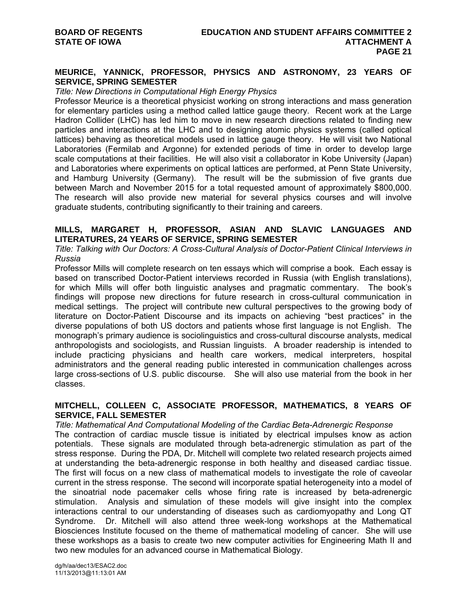# **MEURICE, YANNICK, PROFESSOR, PHYSICS AND ASTRONOMY, 23 YEARS OF SERVICE, SPRING SEMESTER**

## *Title: New Directions in Computational High Energy Physics*

Professor Meurice is a theoretical physicist working on strong interactions and mass generation for elementary particles using a method called lattice gauge theory. Recent work at the Large Hadron Collider (LHC) has led him to move in new research directions related to finding new particles and interactions at the LHC and to designing atomic physics systems (called optical lattices) behaving as theoretical models used in lattice gauge theory. He will visit two National Laboratories (Fermilab and Argonne) for extended periods of time in order to develop large scale computations at their facilities. He will also visit a collaborator in Kobe University (Japan) and Laboratories where experiments on optical lattices are performed, at Penn State University, and Hamburg University (Germany). The result will be the submission of five grants due between March and November 2015 for a total requested amount of approximately \$800,000. The research will also provide new material for several physics courses and will involve graduate students, contributing significantly to their training and careers.

# **MILLS, MARGARET H, PROFESSOR, ASIAN AND SLAVIC LANGUAGES AND LITERATURES, 24 YEARS OF SERVICE, SPRING SEMESTER**

## *Title: Talking with Our Doctors: A Cross-Cultural Analysis of Doctor-Patient Clinical Interviews in Russia*

Professor Mills will complete research on ten essays which will comprise a book. Each essay is based on transcribed Doctor-Patient interviews recorded in Russia (with English translations), for which Mills will offer both linguistic analyses and pragmatic commentary. The book's findings will propose new directions for future research in cross-cultural communication in medical settings. The project will contribute new cultural perspectives to the growing body of literature on Doctor-Patient Discourse and its impacts on achieving "best practices" in the diverse populations of both US doctors and patients whose first language is not English. The monograph's primary audience is sociolinguistics and cross-cultural discourse analysts, medical anthropologists and sociologists, and Russian linguists. A broader readership is intended to include practicing physicians and health care workers, medical interpreters, hospital administrators and the general reading public interested in communication challenges across large cross-sections of U.S. public discourse. She will also use material from the book in her classes.

# **MITCHELL, COLLEEN C, ASSOCIATE PROFESSOR, MATHEMATICS, 8 YEARS OF SERVICE, FALL SEMESTER**

*Title: Mathematical And Computational Modeling of the Cardiac Beta-Adrenergic Response*  The contraction of cardiac muscle tissue is initiated by electrical impulses know as action potentials. These signals are modulated through beta-adrenergic stimulation as part of the stress response. During the PDA, Dr. Mitchell will complete two related research projects aimed at understanding the beta-adrenergic response in both healthy and diseased cardiac tissue. The first will focus on a new class of mathematical models to investigate the role of caveolar current in the stress response. The second will incorporate spatial heterogeneity into a model of the sinoatrial node pacemaker cells whose firing rate is increased by beta-adrenergic stimulation. Analysis and simulation of these models will give insight into the complex interactions central to our understanding of diseases such as cardiomyopathy and Long QT Syndrome. Dr. Mitchell will also attend three week-long workshops at the Mathematical Biosciences Institute focused on the theme of mathematical modeling of cancer. She will use these workshops as a basis to create two new computer activities for Engineering Math II and two new modules for an advanced course in Mathematical Biology.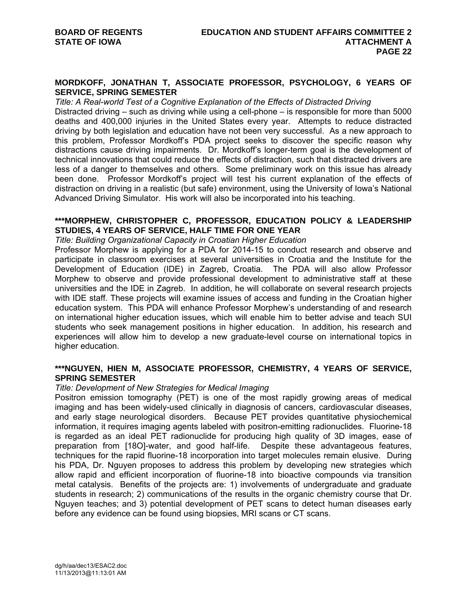## **MORDKOFF, JONATHAN T, ASSOCIATE PROFESSOR, PSYCHOLOGY, 6 YEARS OF SERVICE, SPRING SEMESTER**

#### *Title: A Real-world Test of a Cognitive Explanation of the Effects of Distracted Driving*

Distracted driving – such as driving while using a cell-phone – is responsible for more than 5000 deaths and 400,000 injuries in the United States every year. Attempts to reduce distracted driving by both legislation and education have not been very successful. As a new approach to this problem, Professor Mordkoff's PDA project seeks to discover the specific reason why distractions cause driving impairments. Dr. Mordkoff's longer-term goal is the development of technical innovations that could reduce the effects of distraction, such that distracted drivers are less of a danger to themselves and others. Some preliminary work on this issue has already been done. Professor Mordkoff's project will test his current explanation of the effects of distraction on driving in a realistic (but safe) environment, using the University of Iowa's National Advanced Driving Simulator. His work will also be incorporated into his teaching.

# **\*\*\*MORPHEW, CHRISTOPHER C, PROFESSOR, EDUCATION POLICY & LEADERSHIP STUDIES, 4 YEARS OF SERVICE, HALF TIME FOR ONE YEAR**

*Title: Building Organizational Capacity in Croatian Higher Education* 

Professor Morphew is applying for a PDA for 2014-15 to conduct research and observe and participate in classroom exercises at several universities in Croatia and the Institute for the Development of Education (IDE) in Zagreb, Croatia. The PDA will also allow Professor Morphew to observe and provide professional development to administrative staff at these universities and the IDE in Zagreb. In addition, he will collaborate on several research projects with IDE staff. These projects will examine issues of access and funding in the Croatian higher education system. This PDA will enhance Professor Morphew's understanding of and research on international higher education issues, which will enable him to better advise and teach SUI students who seek management positions in higher education. In addition, his research and experiences will allow him to develop a new graduate-level course on international topics in higher education.

# **\*\*\*NGUYEN, HIEN M, ASSOCIATE PROFESSOR, CHEMISTRY, 4 YEARS OF SERVICE, SPRING SEMESTER**

#### *Title: Development of New Strategies for Medical Imaging*

Positron emission tomography (PET) is one of the most rapidly growing areas of medical imaging and has been widely-used clinically in diagnosis of cancers, cardiovascular diseases, and early stage neurological disorders. Because PET provides quantitative physiochemical information, it requires imaging agents labeled with positron-emitting radionuclides. Fluorine-18 is regarded as an ideal PET radionuclide for producing high quality of 3D images, ease of preparation from [18O]-water, and good half-life. Despite these advantageous features, techniques for the rapid fluorine-18 incorporation into target molecules remain elusive. During his PDA, Dr. Nguyen proposes to address this problem by developing new strategies which allow rapid and efficient incorporation of fluorine-18 into bioactive compounds via transition metal catalysis. Benefits of the projects are: 1) involvements of undergraduate and graduate students in research; 2) communications of the results in the organic chemistry course that Dr. Nguyen teaches; and 3) potential development of PET scans to detect human diseases early before any evidence can be found using biopsies, MRI scans or CT scans.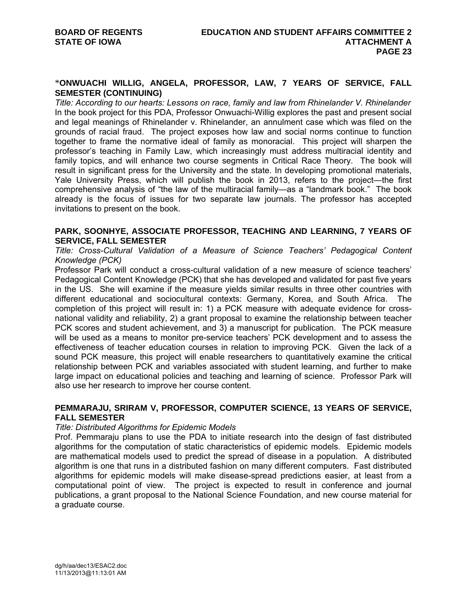## \***ONWUACHI WILLIG, ANGELA, PROFESSOR, LAW, 7 YEARS OF SERVICE, FALL SEMESTER (CONTINUING)**

*Title: According to our hearts: Lessons on race, family and law from Rhinelander V. Rhinelander* In the book project for this PDA, Professor Onwuachi-Willig explores the past and present social and legal meanings of Rhinelander v. Rhinelander, an annulment case which was filed on the grounds of racial fraud. The project exposes how law and social norms continue to function together to frame the normative ideal of family as monoracial. This project will sharpen the professor's teaching in Family Law, which increasingly must address multiracial identity and family topics, and will enhance two course segments in Critical Race Theory. The book will result in significant press for the University and the state. In developing promotional materials, Yale University Press, which will publish the book in 2013, refers to the project—the first comprehensive analysis of "the law of the multiracial family—as a "landmark book." The book already is the focus of issues for two separate law journals. The professor has accepted invitations to present on the book.

# **PARK, SOONHYE, ASSOCIATE PROFESSOR, TEACHING AND LEARNING, 7 YEARS OF SERVICE, FALL SEMESTER**

*Title: Cross-Cultural Validation of a Measure of Science Teachers' Pedagogical Content Knowledge (PCK)* 

Professor Park will conduct a cross-cultural validation of a new measure of science teachers' Pedagogical Content Knowledge (PCK) that she has developed and validated for past five years in the US. She will examine if the measure yields similar results in three other countries with different educational and sociocultural contexts: Germany, Korea, and South Africa. The completion of this project will result in: 1) a PCK measure with adequate evidence for crossnational validity and reliability, 2) a grant proposal to examine the relationship between teacher PCK scores and student achievement, and 3) a manuscript for publication. The PCK measure will be used as a means to monitor pre-service teachers' PCK development and to assess the effectiveness of teacher education courses in relation to improving PCK. Given the lack of a sound PCK measure, this project will enable researchers to quantitatively examine the critical relationship between PCK and variables associated with student learning, and further to make large impact on educational policies and teaching and learning of science. Professor Park will also use her research to improve her course content.

# **PEMMARAJU, SRIRAM V, PROFESSOR, COMPUTER SCIENCE, 13 YEARS OF SERVICE, FALL SEMESTER**

## *Title: Distributed Algorithms for Epidemic Models*

Prof. Pemmaraju plans to use the PDA to initiate research into the design of fast distributed algorithms for the computation of static characteristics of epidemic models. Epidemic models are mathematical models used to predict the spread of disease in a population. A distributed algorithm is one that runs in a distributed fashion on many different computers. Fast distributed algorithms for epidemic models will make disease-spread predictions easier, at least from a computational point of view. The project is expected to result in conference and journal publications, a grant proposal to the National Science Foundation, and new course material for a graduate course.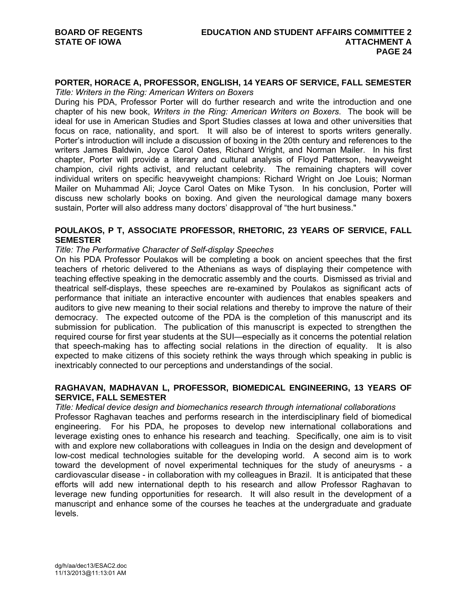#### **PORTER, HORACE A, PROFESSOR, ENGLISH, 14 YEARS OF SERVICE, FALL SEMESTER** *Title: Writers in the Ring: American Writers on Boxers*

During his PDA, Professor Porter will do further research and write the introduction and one chapter of his new book, *Writers in the Ring: American Writers on Boxers*. The book will be ideal for use in American Studies and Sport Studies classes at Iowa and other universities that focus on race, nationality, and sport. It will also be of interest to sports writers generally. Porter's introduction will include a discussion of boxing in the 20th century and references to the writers James Baldwin, Joyce Carol Oates, Richard Wright, and Norman Mailer. In his first chapter, Porter will provide a literary and cultural analysis of Floyd Patterson, heavyweight champion, civil rights activist, and reluctant celebrity. The remaining chapters will cover individual writers on specific heavyweight champions: Richard Wright on Joe Louis; Norman Mailer on Muhammad Ali; Joyce Carol Oates on Mike Tyson. In his conclusion, Porter will discuss new scholarly books on boxing. And given the neurological damage many boxers sustain, Porter will also address many doctors' disapproval of "the hurt business."

# **POULAKOS, P T, ASSOCIATE PROFESSOR, RHETORIC, 23 YEARS OF SERVICE, FALL SEMESTER**

## *Title: The Performative Character of Self-display Speeches*

On his PDA Professor Poulakos will be completing a book on ancient speeches that the first teachers of rhetoric delivered to the Athenians as ways of displaying their competence with teaching effective speaking in the democratic assembly and the courts. Dismissed as trivial and theatrical self-displays, these speeches are re-examined by Poulakos as significant acts of performance that initiate an interactive encounter with audiences that enables speakers and auditors to give new meaning to their social relations and thereby to improve the nature of their democracy. The expected outcome of the PDA is the completion of this manuscript and its submission for publication. The publication of this manuscript is expected to strengthen the required course for first year students at the SUI—especially as it concerns the potential relation that speech-making has to affecting social relations in the direction of equality. It is also expected to make citizens of this society rethink the ways through which speaking in public is inextricably connected to our perceptions and understandings of the social.

## **RAGHAVAN, MADHAVAN L, PROFESSOR, BIOMEDICAL ENGINEERING, 13 YEARS OF SERVICE, FALL SEMESTER**

# *Title: Medical device design and biomechanics research through international collaborations*  Professor Raghavan teaches and performs research in the interdisciplinary field of biomedical engineering. For his PDA, he proposes to develop new international collaborations and leverage existing ones to enhance his research and teaching. Specifically, one aim is to visit with and explore new collaborations with colleagues in India on the design and development of low-cost medical technologies suitable for the developing world. A second aim is to work toward the development of novel experimental techniques for the study of aneurysms - a cardiovascular disease - in collaboration with my colleagues in Brazil. It is anticipated that these efforts will add new international depth to his research and allow Professor Raghavan to leverage new funding opportunities for research. It will also result in the development of a manuscript and enhance some of the courses he teaches at the undergraduate and graduate levels.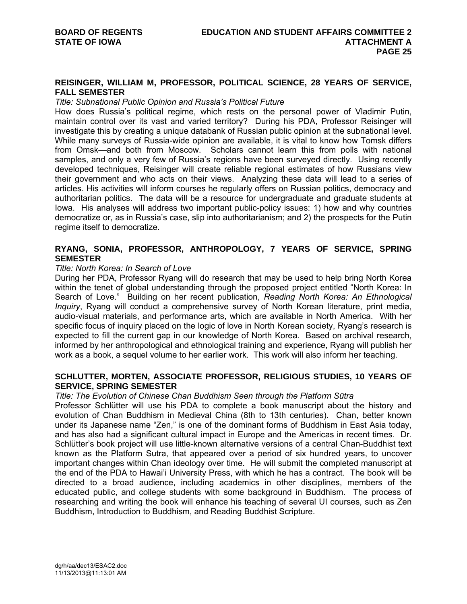## **REISINGER, WILLIAM M, PROFESSOR, POLITICAL SCIENCE, 28 YEARS OF SERVICE, FALL SEMESTER**

### *Title: Subnational Public Opinion and Russia's Political Future*

How does Russia's political regime, which rests on the personal power of Vladimir Putin, maintain control over its vast and varied territory? During his PDA, Professor Reisinger will investigate this by creating a unique databank of Russian public opinion at the subnational level. While many surveys of Russia-wide opinion are available, it is vital to know how Tomsk differs from Omsk—and both from Moscow. Scholars cannot learn this from polls with national samples, and only a very few of Russia's regions have been surveyed directly. Using recently developed techniques, Reisinger will create reliable regional estimates of how Russians view their government and who acts on their views. Analyzing these data will lead to a series of articles. His activities will inform courses he regularly offers on Russian politics, democracy and authoritarian politics. The data will be a resource for undergraduate and graduate students at Iowa. His analyses will address two important public-policy issues: 1) how and why countries democratize or, as in Russia's case, slip into authoritarianism; and 2) the prospects for the Putin regime itself to democratize.

# **RYANG, SONIA, PROFESSOR, ANTHROPOLOGY, 7 YEARS OF SERVICE, SPRING SEMESTER**

## *Title: North Korea: In Search of Love*

During her PDA, Professor Ryang will do research that may be used to help bring North Korea within the tenet of global understanding through the proposed project entitled "North Korea: In Search of Love." Building on her recent publication, *Reading North Korea: An Ethnological Inquiry*, Ryang will conduct a comprehensive survey of North Korean literature, print media, audio-visual materials, and performance arts, which are available in North America. With her specific focus of inquiry placed on the logic of love in North Korean society, Ryang's research is expected to fill the current gap in our knowledge of North Korea. Based on archival research, informed by her anthropological and ethnological training and experience, Ryang will publish her work as a book, a sequel volume to her earlier work. This work will also inform her teaching.

## **SCHLUTTER, MORTEN, ASSOCIATE PROFESSOR, RELIGIOUS STUDIES, 10 YEARS OF SERVICE, SPRING SEMESTER**

## *Title: The Evolution of Chinese Chan Buddhism Seen through the Platform Sūtra*

Professor Schlütter will use his PDA to complete a book manuscript about the history and evolution of Chan Buddhism in Medieval China (8th to 13th centuries). Chan, better known under its Japanese name "Zen," is one of the dominant forms of Buddhism in East Asia today, and has also had a significant cultural impact in Europe and the Americas in recent times. Dr. Schlütter's book project will use little-known alternative versions of a central Chan-Buddhist text known as the Platform Sutra, that appeared over a period of six hundred years, to uncover important changes within Chan ideology over time. He will submit the completed manuscript at the end of the PDA to Hawai'i University Press, with which he has a contract. The book will be directed to a broad audience, including academics in other disciplines, members of the educated public, and college students with some background in Buddhism. The process of researching and writing the book will enhance his teaching of several UI courses, such as Zen Buddhism, Introduction to Buddhism, and Reading Buddhist Scripture.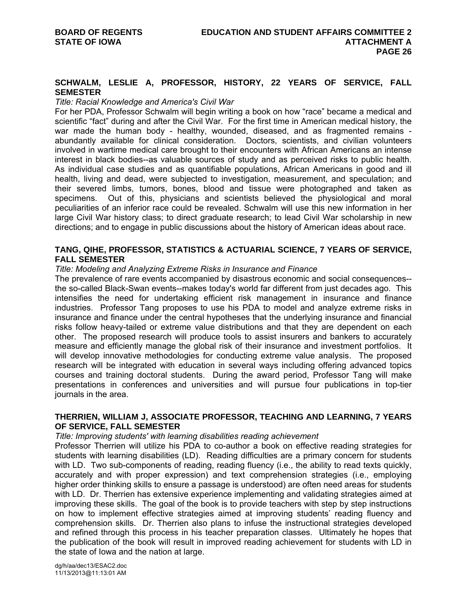## **SCHWALM, LESLIE A, PROFESSOR, HISTORY, 22 YEARS OF SERVICE, FALL SEMESTER**

#### *Title: Racial Knowledge and America's Civil War*

For her PDA, Professor Schwalm will begin writing a book on how "race" became a medical and scientific "fact" during and after the Civil War. For the first time in American medical history, the war made the human body - healthy, wounded, diseased, and as fragmented remains abundantly available for clinical consideration. Doctors, scientists, and civilian volunteers involved in wartime medical care brought to their encounters with African Americans an intense interest in black bodies--as valuable sources of study and as perceived risks to public health. As individual case studies and as quantifiable populations, African Americans in good and ill health, living and dead, were subjected to investigation, measurement, and speculation; and their severed limbs, tumors, bones, blood and tissue were photographed and taken as specimens. Out of this, physicians and scientists believed the physiological and moral peculiarities of an inferior race could be revealed. Schwalm will use this new information in her large Civil War history class; to direct graduate research; to lead Civil War scholarship in new directions; and to engage in public discussions about the history of American ideas about race.

## **TANG, QIHE, PROFESSOR, STATISTICS & ACTUARIAL SCIENCE, 7 YEARS OF SERVICE, FALL SEMESTER**

### *Title: Modeling and Analyzing Extreme Risks in Insurance and Finance*

The prevalence of rare events accompanied by disastrous economic and social consequences- the so-called Black-Swan events--makes today's world far different from just decades ago. This intensifies the need for undertaking efficient risk management in insurance and finance industries. Professor Tang proposes to use his PDA to model and analyze extreme risks in insurance and finance under the central hypotheses that the underlying insurance and financial risks follow heavy-tailed or extreme value distributions and that they are dependent on each other. The proposed research will produce tools to assist insurers and bankers to accurately measure and efficiently manage the global risk of their insurance and investment portfolios. It will develop innovative methodologies for conducting extreme value analysis. The proposed research will be integrated with education in several ways including offering advanced topics courses and training doctoral students. During the award period, Professor Tang will make presentations in conferences and universities and will pursue four publications in top-tier journals in the area.

## **THERRIEN, WILLIAM J, ASSOCIATE PROFESSOR, TEACHING AND LEARNING, 7 YEARS OF SERVICE, FALL SEMESTER**

## *Title: Improving students' with learning disabilities reading achievement*

Professor Therrien will utilize his PDA to co-author a book on effective reading strategies for students with learning disabilities (LD). Reading difficulties are a primary concern for students with LD. Two sub-components of reading, reading fluency (i.e., the ability to read texts quickly, accurately and with proper expression) and text comprehension strategies (i.e., employing higher order thinking skills to ensure a passage is understood) are often need areas for students with LD. Dr. Therrien has extensive experience implementing and validating strategies aimed at improving these skills. The goal of the book is to provide teachers with step by step instructions on how to implement effective strategies aimed at improving students' reading fluency and comprehension skills. Dr. Therrien also plans to infuse the instructional strategies developed and refined through this process in his teacher preparation classes. Ultimately he hopes that the publication of the book will result in improved reading achievement for students with LD in the state of lowa and the nation at large.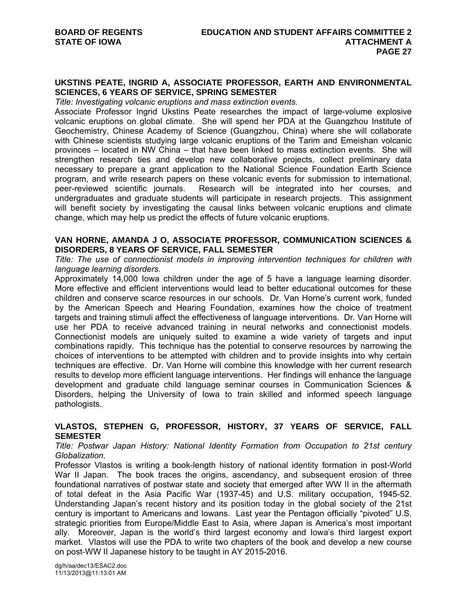## **UKSTINS PEATE, INGRID A, ASSOCIATE PROFESSOR, EARTH AND ENVIRONMENTAL SCIENCES, 6 YEARS OF SERVICE, SPRING SEMESTER**

*Title: Investigating volcanic eruptions and mass extinction events.* 

Associate Professor Ingrid Ukstins Peate researches the impact of large-volume explosive volcanic eruptions on global climate. She will spend her PDA at the Guangzhou Institute of Geochemistry, Chinese Academy of Science (Guangzhou, China) where she will collaborate with Chinese scientists studying large volcanic eruptions of the Tarim and Emeishan volcanic provinces – located in NW China – that have been linked to mass extinction events. She will strengthen research ties and develop new collaborative projects, collect preliminary data necessary to prepare a grant application to the National Science Foundation Earth Science program, and write research papers on these volcanic events for submission to international, peer-reviewed scientific journals. Research will be integrated into her courses, and undergraduates and graduate students will participate in research projects. This assignment will benefit society by investigating the causal links between volcanic eruptions and climate change, which may help us predict the effects of future volcanic eruptions.

### **VAN HORNE, AMANDA J O, ASSOCIATE PROFESSOR, COMMUNICATION SCIENCES & DISORDERS, 8 YEARS OF SERVICE, FALL SEMESTER**

*Title: The use of connectionist models in improving intervention techniques for children with language learning disorders.* 

Approximately 14,000 Iowa children under the age of 5 have a language learning disorder. More effective and efficient interventions would lead to better educational outcomes for these children and conserve scarce resources in our schools. Dr. Van Horne's current work, funded by the American Speech and Hearing Foundation, examines how the choice of treatment targets and training stimuli affect the effectiveness of language interventions. Dr. Van Horne will use her PDA to receive advanced training in neural networks and connectionist models. Connectionist models are uniquely suited to examine a wide variety of targets and input combinations rapidly. This technique has the potential to conserve resources by narrowing the choices of interventions to be attempted with children and to provide insights into why certain techniques are effective. Dr. Van Horne will combine this knowledge with her current research results to develop more efficient language interventions. Her findings will enhance the language development and graduate child language seminar courses in Communication Sciences & Disorders, helping the University of Iowa to train skilled and informed speech language pathologists.

# **VLASTOS, STEPHEN G, PROFESSOR, HISTORY, 37 YEARS OF SERVICE, FALL SEMESTER**

## *Title: Postwar Japan History: National Identity Formation from Occupation to 21st century Globalization.*

Professor Vlastos is writing a book-length history of national identity formation in post-World War II Japan. The book traces the origins, ascendancy, and subsequent erosion of three foundational narratives of postwar state and society that emerged after WW II in the aftermath of total defeat in the Asia Pacific War (1937-45) and U.S. military occupation, 1945-52. Understanding Japan's recent history and its position today in the global society of the 21st century is important to Americans and Iowans. Last year the Pentagon officially "pivoted" U.S. strategic priorities from Europe/Middle East to Asia, where Japan is America's most important ally. Moreover, Japan is the world's third largest economy and Iowa's third largest export market. Vlastos will use the PDA to write two chapters of the book and develop a new course on post-WW II Japanese history to be taught in AY 2015-2016.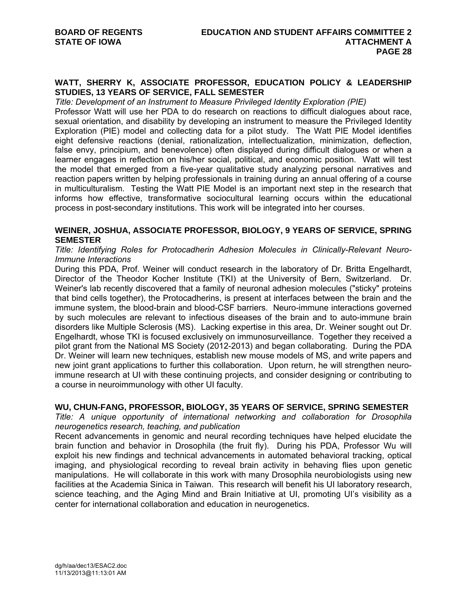# **WATT, SHERRY K, ASSOCIATE PROFESSOR, EDUCATION POLICY & LEADERSHIP STUDIES, 13 YEARS OF SERVICE, FALL SEMESTER**

*Title: Development of an Instrument to Measure Privileged Identity Exploration (PIE)* 

Professor Watt will use her PDA to do research on reactions to difficult dialogues about race, sexual orientation, and disability by developing an instrument to measure the Privileged Identity Exploration (PIE) model and collecting data for a pilot study. The Watt PIE Model identifies eight defensive reactions (denial, rationalization, intellectualization, minimization, deflection, false envy, principium, and benevolence) often displayed during difficult dialogues or when a learner engages in reflection on his/her social, political, and economic position. Watt will test the model that emerged from a five-year qualitative study analyzing personal narratives and reaction papers written by helping professionals in training during an annual offering of a course in multiculturalism. Testing the Watt PIE Model is an important next step in the research that informs how effective, transformative sociocultural learning occurs within the educational process in post-secondary institutions. This work will be integrated into her courses.

# **WEINER, JOSHUA, ASSOCIATE PROFESSOR, BIOLOGY, 9 YEARS OF SERVICE, SPRING SEMESTER**

## *Title: Identifying Roles for Protocadherin Adhesion Molecules in Clinically-Relevant Neuro-Immune Interactions*

During this PDA, Prof. Weiner will conduct research in the laboratory of Dr. Britta Engelhardt, Director of the Theodor Kocher Institute (TKI) at the University of Bern, Switzerland. Dr. Weiner's lab recently discovered that a family of neuronal adhesion molecules ("sticky" proteins that bind cells together), the Protocadherins, is present at interfaces between the brain and the immune system, the blood-brain and blood-CSF barriers. Neuro-immune interactions governed by such molecules are relevant to infectious diseases of the brain and to auto-immune brain disorders like Multiple Sclerosis (MS). Lacking expertise in this area, Dr. Weiner sought out Dr. Engelhardt, whose TKI is focused exclusively on immunosurveillance. Together they received a pilot grant from the National MS Society (2012-2013) and began collaborating. During the PDA Dr. Weiner will learn new techniques, establish new mouse models of MS, and write papers and new joint grant applications to further this collaboration. Upon return, he will strengthen neuroimmune research at UI with these continuing projects, and consider designing or contributing to a course in neuroimmunology with other UI faculty.

# **WU, CHUN-FANG, PROFESSOR, BIOLOGY, 35 YEARS OF SERVICE, SPRING SEMESTER**

*Title: A unique opportunity of international networking and collaboration for Drosophila neurogenetics research, teaching, and publication* 

Recent advancements in genomic and neural recording techniques have helped elucidate the brain function and behavior in Drosophila (the fruit fly). During his PDA, Professor Wu will exploit his new findings and technical advancements in automated behavioral tracking, optical imaging, and physiological recording to reveal brain activity in behaving flies upon genetic manipulations. He will collaborate in this work with many Drosophila neurobiologists using new facilities at the Academia Sinica in Taiwan. This research will benefit his UI laboratory research, science teaching, and the Aging Mind and Brain Initiative at UI, promoting UI's visibility as a center for international collaboration and education in neurogenetics.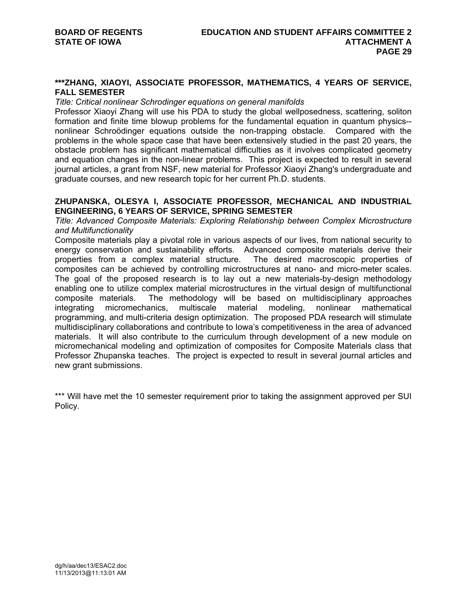## **\*\*\*ZHANG, XIAOYI, ASSOCIATE PROFESSOR, MATHEMATICS, 4 YEARS OF SERVICE, FALL SEMESTER**

#### *Title: Critical nonlinear Schrodinger equations on general manifolds*

Professor Xiaoyi Zhang will use his PDA to study the global wellposedness, scattering, soliton formation and finite time blowup problems for the fundamental equation in quantum physics- nonlinear Schroödinger equations outside the non-trapping obstacle. Compared with the problems in the whole space case that have been extensively studied in the past 20 years, the obstacle problem has significant mathematical difficulties as it involves complicated geometry and equation changes in the non-linear problems. This project is expected to result in several journal articles, a grant from NSF, new material for Professor Xiaoyi Zhang's undergraduate and graduate courses, and new research topic for her current Ph.D. students.

# **ZHUPANSKA, OLESYA I, ASSOCIATE PROFESSOR, MECHANICAL AND INDUSTRIAL ENGINEERING, 6 YEARS OF SERVICE, SPRING SEMESTER**

*Title: Advanced Composite Materials: Exploring Relationship between Complex Microstructure and Multifunctionality* 

Composite materials play a pivotal role in various aspects of our lives, from national security to energy conservation and sustainability efforts. Advanced composite materials derive their properties from a complex material structure. The desired macroscopic properties of composites can be achieved by controlling microstructures at nano- and micro-meter scales. The goal of the proposed research is to lay out a new materials-by-design methodology enabling one to utilize complex material microstructures in the virtual design of multifunctional composite materials. The methodology will be based on multidisciplinary approaches integrating micromechanics, multiscale material modeling, nonlinear mathematical programming, and multi-criteria design optimization. The proposed PDA research will stimulate multidisciplinary collaborations and contribute to Iowa's competitiveness in the area of advanced materials. It will also contribute to the curriculum through development of a new module on micromechanical modeling and optimization of composites for Composite Materials class that Professor Zhupanska teaches. The project is expected to result in several journal articles and new grant submissions.

\*\*\* Will have met the 10 semester requirement prior to taking the assignment approved per SUI Policy.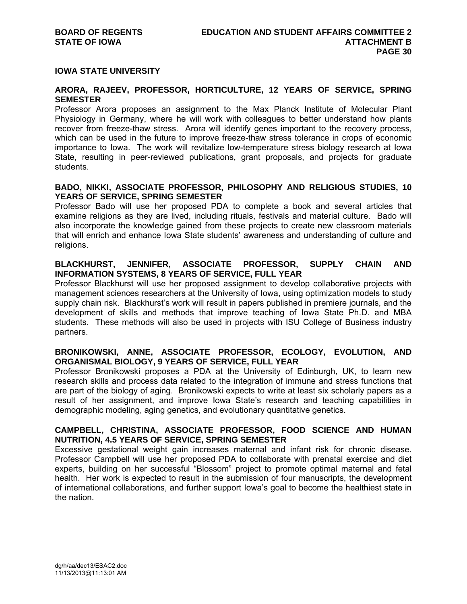## **IOWA STATE UNIVERSITY**

# **ARORA, RAJEEV, PROFESSOR, HORTICULTURE, 12 YEARS OF SERVICE, SPRING SEMESTER**

Professor Arora proposes an assignment to the Max Planck Institute of Molecular Plant Physiology in Germany, where he will work with colleagues to better understand how plants recover from freeze-thaw stress. Arora will identify genes important to the recovery process, which can be used in the future to improve freeze-thaw stress tolerance in crops of economic importance to Iowa. The work will revitalize low-temperature stress biology research at Iowa State, resulting in peer-reviewed publications, grant proposals, and projects for graduate students.

# **BADO, NIKKI, ASSOCIATE PROFESSOR, PHILOSOPHY AND RELIGIOUS STUDIES, 10 YEARS OF SERVICE, SPRING SEMESTER**

Professor Bado will use her proposed PDA to complete a book and several articles that examine religions as they are lived, including rituals, festivals and material culture. Bado will also incorporate the knowledge gained from these projects to create new classroom materials that will enrich and enhance Iowa State students' awareness and understanding of culture and religions.

# **BLACKHURST, JENNIFER, ASSOCIATE PROFESSOR, SUPPLY CHAIN AND INFORMATION SYSTEMS, 8 YEARS OF SERVICE, FULL YEAR**

Professor Blackhurst will use her proposed assignment to develop collaborative projects with management sciences researchers at the University of Iowa, using optimization models to study supply chain risk. Blackhurst's work will result in papers published in premiere journals, and the development of skills and methods that improve teaching of Iowa State Ph.D. and MBA students. These methods will also be used in projects with ISU College of Business industry partners.

# **BRONIKOWSKI, ANNE, ASSOCIATE PROFESSOR, ECOLOGY, EVOLUTION, AND ORGANISMAL BIOLOGY, 9 YEARS OF SERVICE, FULL YEAR**

Professor Bronikowski proposes a PDA at the University of Edinburgh, UK, to learn new research skills and process data related to the integration of immune and stress functions that are part of the biology of aging. Bronikowski expects to write at least six scholarly papers as a result of her assignment, and improve Iowa State's research and teaching capabilities in demographic modeling, aging genetics, and evolutionary quantitative genetics.

# **CAMPBELL, CHRISTINA, ASSOCIATE PROFESSOR, FOOD SCIENCE AND HUMAN NUTRITION, 4.5 YEARS OF SERVICE, SPRING SEMESTER**

Excessive gestational weight gain increases maternal and infant risk for chronic disease. Professor Campbell will use her proposed PDA to collaborate with prenatal exercise and diet experts, building on her successful "Blossom" project to promote optimal maternal and fetal health. Her work is expected to result in the submission of four manuscripts, the development of international collaborations, and further support Iowa's goal to become the healthiest state in the nation.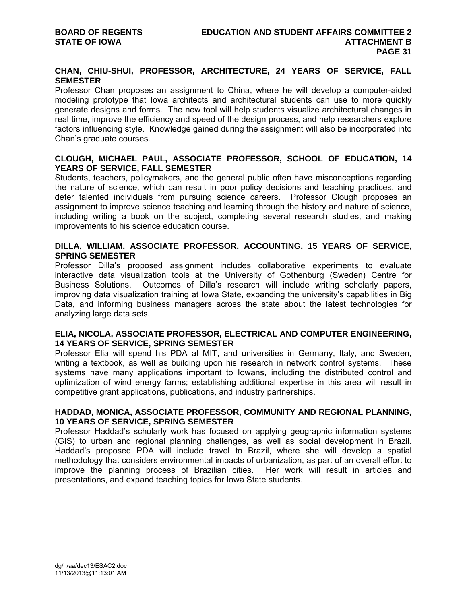# **CHAN, CHIU-SHUI, PROFESSOR, ARCHITECTURE, 24 YEARS OF SERVICE, FALL SEMESTER**

Professor Chan proposes an assignment to China, where he will develop a computer-aided modeling prototype that Iowa architects and architectural students can use to more quickly generate designs and forms. The new tool will help students visualize architectural changes in real time, improve the efficiency and speed of the design process, and help researchers explore factors influencing style. Knowledge gained during the assignment will also be incorporated into Chan's graduate courses.

# **CLOUGH, MICHAEL PAUL, ASSOCIATE PROFESSOR, SCHOOL OF EDUCATION, 14 YEARS OF SERVICE, FALL SEMESTER**

Students, teachers, policymakers, and the general public often have misconceptions regarding the nature of science, which can result in poor policy decisions and teaching practices, and deter talented individuals from pursuing science careers. Professor Clough proposes an assignment to improve science teaching and learning through the history and nature of science, including writing a book on the subject, completing several research studies, and making improvements to his science education course.

# **DILLA, WILLIAM, ASSOCIATE PROFESSOR, ACCOUNTING, 15 YEARS OF SERVICE, SPRING SEMESTER**

Professor Dilla's proposed assignment includes collaborative experiments to evaluate interactive data visualization tools at the University of Gothenburg (Sweden) Centre for Business Solutions. Outcomes of Dilla's research will include writing scholarly papers, improving data visualization training at Iowa State, expanding the university's capabilities in Big Data, and informing business managers across the state about the latest technologies for analyzing large data sets.

# **ELIA, NICOLA, ASSOCIATE PROFESSOR, ELECTRICAL AND COMPUTER ENGINEERING, 14 YEARS OF SERVICE, SPRING SEMESTER**

Professor Elia will spend his PDA at MIT, and universities in Germany, Italy, and Sweden, writing a textbook, as well as building upon his research in network control systems. These systems have many applications important to Iowans, including the distributed control and optimization of wind energy farms; establishing additional expertise in this area will result in competitive grant applications, publications, and industry partnerships.

# **HADDAD, MONICA, ASSOCIATE PROFESSOR, COMMUNITY AND REGIONAL PLANNING, 10 YEARS OF SERVICE, SPRING SEMESTER**

Professor Haddad's scholarly work has focused on applying geographic information systems (GIS) to urban and regional planning challenges, as well as social development in Brazil. Haddad's proposed PDA will include travel to Brazil, where she will develop a spatial methodology that considers environmental impacts of urbanization, as part of an overall effort to improve the planning process of Brazilian cities. Her work will result in articles and presentations, and expand teaching topics for Iowa State students.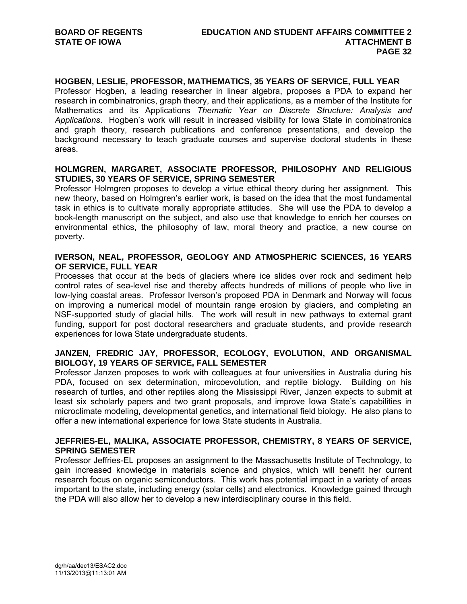# **HOGBEN, LESLIE, PROFESSOR, MATHEMATICS, 35 YEARS OF SERVICE, FULL YEAR**

Professor Hogben, a leading researcher in linear algebra, proposes a PDA to expand her research in combinatronics, graph theory, and their applications, as a member of the Institute for Mathematics and its Applications *Thematic Year on Discrete Structure: Analysis and Applications*. Hogben's work will result in increased visibility for Iowa State in combinatronics and graph theory, research publications and conference presentations, and develop the background necessary to teach graduate courses and supervise doctoral students in these areas.

# **HOLMGREN, MARGARET, ASSOCIATE PROFESSOR, PHILOSOPHY AND RELIGIOUS STUDIES, 30 YEARS OF SERVICE, SPRING SEMESTER**

Professor Holmgren proposes to develop a virtue ethical theory during her assignment. This new theory, based on Holmgren's earlier work, is based on the idea that the most fundamental task in ethics is to cultivate morally appropriate attitudes. She will use the PDA to develop a book-length manuscript on the subject, and also use that knowledge to enrich her courses on environmental ethics, the philosophy of law, moral theory and practice, a new course on poverty.

# **IVERSON, NEAL, PROFESSOR, GEOLOGY AND ATMOSPHERIC SCIENCES, 16 YEARS OF SERVICE, FULL YEAR**

Processes that occur at the beds of glaciers where ice slides over rock and sediment help control rates of sea-level rise and thereby affects hundreds of millions of people who live in low-lying coastal areas. Professor Iverson's proposed PDA in Denmark and Norway will focus on improving a numerical model of mountain range erosion by glaciers, and completing an NSF-supported study of glacial hills. The work will result in new pathways to external grant funding, support for post doctoral researchers and graduate students, and provide research experiences for Iowa State undergraduate students.

# **JANZEN, FREDRIC JAY, PROFESSOR, ECOLOGY, EVOLUTION, AND ORGANISMAL BIOLOGY, 19 YEARS OF SERVICE, FALL SEMESTER**

Professor Janzen proposes to work with colleagues at four universities in Australia during his PDA, focused on sex determination, mircoevolution, and reptile biology. Building on his research of turtles, and other reptiles along the Mississippi River, Janzen expects to submit at least six scholarly papers and two grant proposals, and improve Iowa State's capabilities in microclimate modeling, developmental genetics, and international field biology. He also plans to offer a new international experience for Iowa State students in Australia.

## **JEFFRIES-EL, MALIKA, ASSOCIATE PROFESSOR, CHEMISTRY, 8 YEARS OF SERVICE, SPRING SEMESTER**

Professor Jeffries-EL proposes an assignment to the Massachusetts Institute of Technology, to gain increased knowledge in materials science and physics, which will benefit her current research focus on organic semiconductors. This work has potential impact in a variety of areas important to the state, including energy (solar cells) and electronics. Knowledge gained through the PDA will also allow her to develop a new interdisciplinary course in this field.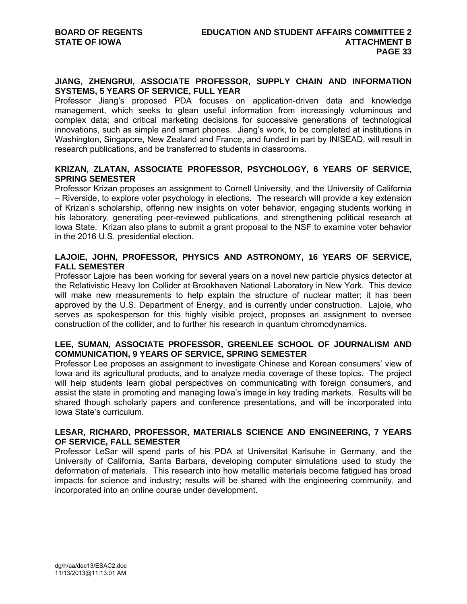# **JIANG, ZHENGRUI, ASSOCIATE PROFESSOR, SUPPLY CHAIN AND INFORMATION SYSTEMS, 5 YEARS OF SERVICE, FULL YEAR**

Professor Jiang's proposed PDA focuses on application-driven data and knowledge management, which seeks to glean useful information from increasingly voluminous and complex data; and critical marketing decisions for successive generations of technological innovations, such as simple and smart phones. Jiang's work, to be completed at institutions in Washington, Singapore, New Zealand and France, and funded in part by INISEAD, will result in research publications, and be transferred to students in classrooms.

# **KRIZAN, ZLATAN, ASSOCIATE PROFESSOR, PSYCHOLOGY, 6 YEARS OF SERVICE, SPRING SEMESTER**

Professor Krizan proposes an assignment to Cornell University, and the University of California – Riverside, to explore voter psychology in elections. The research will provide a key extension of Krizan's scholarship, offering new insights on voter behavior, engaging students working in his laboratory, generating peer-reviewed publications, and strengthening political research at Iowa State. Krizan also plans to submit a grant proposal to the NSF to examine voter behavior in the 2016 U.S. presidential election.

# **LAJOIE, JOHN, PROFESSOR, PHYSICS AND ASTRONOMY, 16 YEARS OF SERVICE, FALL SEMESTER**

Professor Lajoie has been working for several years on a novel new particle physics detector at the Relativistic Heavy Ion Collider at Brookhaven National Laboratory in New York. This device will make new measurements to help explain the structure of nuclear matter; it has been approved by the U.S. Department of Energy, and is currently under construction. Lajoie, who serves as spokesperson for this highly visible project, proposes an assignment to oversee construction of the collider, and to further his research in quantum chromodynamics.

# **LEE, SUMAN, ASSOCIATE PROFESSOR, GREENLEE SCHOOL OF JOURNALISM AND COMMUNICATION, 9 YEARS OF SERVICE, SPRING SEMESTER**

Professor Lee proposes an assignment to investigate Chinese and Korean consumers' view of Iowa and its agricultural products, and to analyze media coverage of these topics. The project will help students learn global perspectives on communicating with foreign consumers, and assist the state in promoting and managing Iowa's image in key trading markets. Results will be shared though scholarly papers and conference presentations, and will be incorporated into Iowa State's curriculum.

# **LESAR, RICHARD, PROFESSOR, MATERIALS SCIENCE AND ENGINEERING, 7 YEARS OF SERVICE, FALL SEMESTER**

Professor LeSar will spend parts of his PDA at Universitat Karlsuhe in Germany, and the University of California, Santa Barbara, developing computer simulations used to study the deformation of materials. This research into how metallic materials become fatigued has broad impacts for science and industry; results will be shared with the engineering community, and incorporated into an online course under development.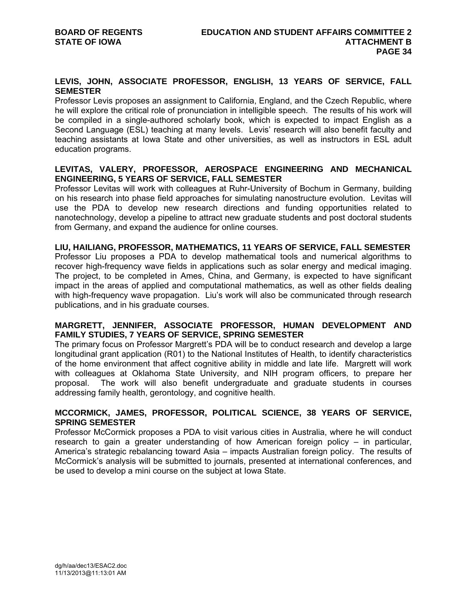# **LEVIS, JOHN, ASSOCIATE PROFESSOR, ENGLISH, 13 YEARS OF SERVICE, FALL SEMESTER**

Professor Levis proposes an assignment to California, England, and the Czech Republic, where he will explore the critical role of pronunciation in intelligible speech. The results of his work will be compiled in a single-authored scholarly book, which is expected to impact English as a Second Language (ESL) teaching at many levels. Levis' research will also benefit faculty and teaching assistants at Iowa State and other universities, as well as instructors in ESL adult education programs.

# **LEVITAS, VALERY, PROFESSOR, AEROSPACE ENGINEERING AND MECHANICAL ENGINEERING, 5 YEARS OF SERVICE, FALL SEMESTER**

Professor Levitas will work with colleagues at Ruhr-University of Bochum in Germany, building on his research into phase field approaches for simulating nanostructure evolution. Levitas will use the PDA to develop new research directions and funding opportunities related to nanotechnology, develop a pipeline to attract new graduate students and post doctoral students from Germany, and expand the audience for online courses.

## **LIU, HAILIANG, PROFESSOR, MATHEMATICS, 11 YEARS OF SERVICE, FALL SEMESTER**

Professor Liu proposes a PDA to develop mathematical tools and numerical algorithms to recover high-frequency wave fields in applications such as solar energy and medical imaging. The project, to be completed in Ames, China, and Germany, is expected to have significant impact in the areas of applied and computational mathematics, as well as other fields dealing with high-frequency wave propagation. Liu's work will also be communicated through research publications, and in his graduate courses.

# **MARGRETT, JENNIFER, ASSOCIATE PROFESSOR, HUMAN DEVELOPMENT AND FAMILY STUDIES, 7 YEARS OF SERVICE, SPRING SEMESTER**

The primary focus on Professor Margrett's PDA will be to conduct research and develop a large longitudinal grant application (R01) to the National Institutes of Health, to identify characteristics of the home environment that affect cognitive ability in middle and late life. Margrett will work with colleagues at Oklahoma State University, and NIH program officers, to prepare her proposal. The work will also benefit undergraduate and graduate students in courses addressing family health, gerontology, and cognitive health.

## **MCCORMICK, JAMES, PROFESSOR, POLITICAL SCIENCE, 38 YEARS OF SERVICE, SPRING SEMESTER**

Professor McCormick proposes a PDA to visit various cities in Australia, where he will conduct research to gain a greater understanding of how American foreign policy – in particular, America's strategic rebalancing toward Asia – impacts Australian foreign policy. The results of McCormick's analysis will be submitted to journals, presented at international conferences, and be used to develop a mini course on the subject at Iowa State.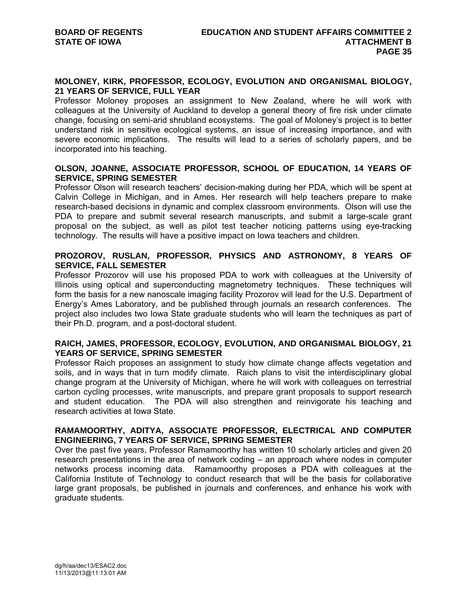## **MOLONEY, KIRK, PROFESSOR, ECOLOGY, EVOLUTION AND ORGANISMAL BIOLOGY, 21 YEARS OF SERVICE, FULL YEAR**

Professor Moloney proposes an assignment to New Zealand, where he will work with colleagues at the University of Auckland to develop a general theory of fire risk under climate change, focusing on semi-arid shrubland ecosystems. The goal of Moloney's project is to better understand risk in sensitive ecological systems, an issue of increasing importance, and with severe economic implications. The results will lead to a series of scholarly papers, and be incorporated into his teaching.

# **OLSON, JOANNE, ASSOCIATE PROFESSOR, SCHOOL OF EDUCATION, 14 YEARS OF SERVICE, SPRING SEMESTER**

Professor Olson will research teachers' decision-making during her PDA, which will be spent at Calvin College in Michigan, and in Ames. Her research will help teachers prepare to make research-based decisions in dynamic and complex classroom environments. Olson will use the PDA to prepare and submit several research manuscripts, and submit a large-scale grant proposal on the subject, as well as pilot test teacher noticing patterns using eye-tracking technology. The results will have a positive impact on Iowa teachers and children.

# **PROZOROV, RUSLAN, PROFESSOR, PHYSICS AND ASTRONOMY, 8 YEARS OF SERVICE, FALL SEMESTER**

Professor Prozorov will use his proposed PDA to work with colleagues at the University of Illinois using optical and superconducting magnetometry techniques. These techniques will form the basis for a new nanoscale imaging facility Prozorov will lead for the U.S. Department of Energy's Ames Laboratory, and be published through journals an research conferences. The project also includes two Iowa State graduate students who will learn the techniques as part of their Ph.D. program, and a post-doctoral student.

# **RAICH, JAMES, PROFESSOR, ECOLOGY, EVOLUTION, AND ORGANISMAL BIOLOGY, 21 YEARS OF SERVICE, SPRING SEMESTER**

Professor Raich proposes an assignment to study how climate change affects vegetation and soils, and in ways that in turn modify climate. Raich plans to visit the interdisciplinary global change program at the University of Michigan, where he will work with colleagues on terrestrial carbon cycling processes, write manuscripts, and prepare grant proposals to support research and student education. The PDA will also strengthen and reinvigorate his teaching and research activities at Iowa State.

# **RAMAMOORTHY, ADITYA, ASSOCIATE PROFESSOR, ELECTRICAL AND COMPUTER ENGINEERING, 7 YEARS OF SERVICE, SPRING SEMESTER**

Over the past five years, Professor Ramamoorthy has written 10 scholarly articles and given 20 research presentations in the area of network coding – an approach where nodes in computer networks process incoming data. Ramamoorthy proposes a PDA with colleagues at the California Institute of Technology to conduct research that will be the basis for collaborative large grant proposals, be published in journals and conferences, and enhance his work with graduate students.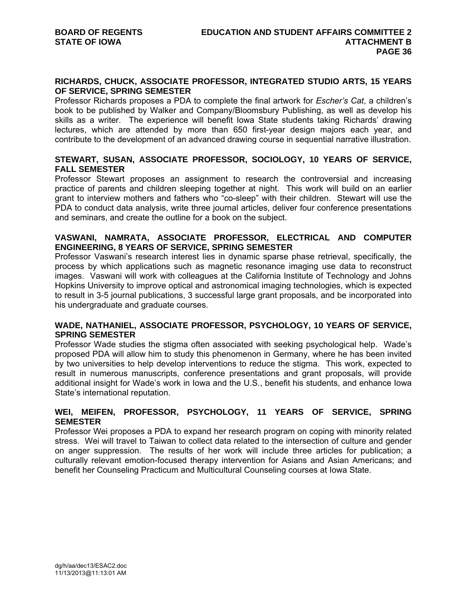## **RICHARDS, CHUCK, ASSOCIATE PROFESSOR, INTEGRATED STUDIO ARTS, 15 YEARS OF SERVICE, SPRING SEMESTER**

Professor Richards proposes a PDA to complete the final artwork for *Escher's Cat*, a children's book to be published by Walker and Company/Bloomsbury Publishing, as well as develop his skills as a writer. The experience will benefit Iowa State students taking Richards' drawing lectures, which are attended by more than 650 first-year design majors each year, and contribute to the development of an advanced drawing course in sequential narrative illustration.

# **STEWART, SUSAN, ASSOCIATE PROFESSOR, SOCIOLOGY, 10 YEARS OF SERVICE, FALL SEMESTER**

Professor Stewart proposes an assignment to research the controversial and increasing practice of parents and children sleeping together at night. This work will build on an earlier grant to interview mothers and fathers who "co-sleep" with their children. Stewart will use the PDA to conduct data analysis, write three journal articles, deliver four conference presentations and seminars, and create the outline for a book on the subject.

# **VASWANI, NAMRATA, ASSOCIATE PROFESSOR, ELECTRICAL AND COMPUTER ENGINEERING, 8 YEARS OF SERVICE, SPRING SEMESTER**

Professor Vaswani's research interest lies in dynamic sparse phase retrieval, specifically, the process by which applications such as magnetic resonance imaging use data to reconstruct images. Vaswani will work with colleagues at the California Institute of Technology and Johns Hopkins University to improve optical and astronomical imaging technologies, which is expected to result in 3-5 journal publications, 3 successful large grant proposals, and be incorporated into his undergraduate and graduate courses.

# **WADE, NATHANIEL, ASSOCIATE PROFESSOR, PSYCHOLOGY, 10 YEARS OF SERVICE, SPRING SEMESTER**

Professor Wade studies the stigma often associated with seeking psychological help. Wade's proposed PDA will allow him to study this phenomenon in Germany, where he has been invited by two universities to help develop interventions to reduce the stigma. This work, expected to result in numerous manuscripts, conference presentations and grant proposals, will provide additional insight for Wade's work in Iowa and the U.S., benefit his students, and enhance Iowa State's international reputation.

## **WEI, MEIFEN, PROFESSOR, PSYCHOLOGY, 11 YEARS OF SERVICE, SPRING SEMESTER**

Professor Wei proposes a PDA to expand her research program on coping with minority related stress. Wei will travel to Taiwan to collect data related to the intersection of culture and gender on anger suppression. The results of her work will include three articles for publication; a culturally relevant emotion-focused therapy intervention for Asians and Asian Americans; and benefit her Counseling Practicum and Multicultural Counseling courses at Iowa State.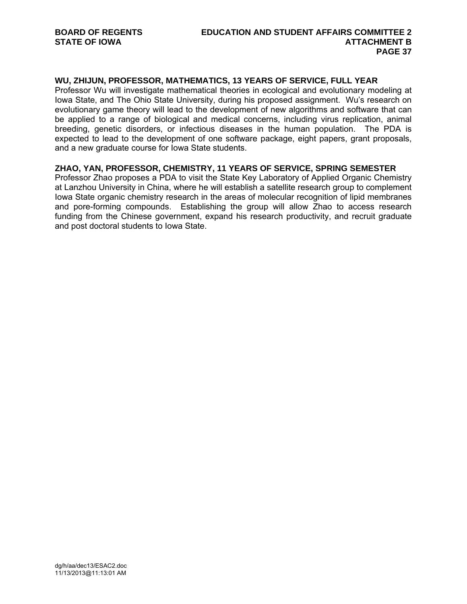# **WU, ZHIJUN, PROFESSOR, MATHEMATICS, 13 YEARS OF SERVICE, FULL YEAR**

Professor Wu will investigate mathematical theories in ecological and evolutionary modeling at Iowa State, and The Ohio State University, during his proposed assignment. Wu's research on evolutionary game theory will lead to the development of new algorithms and software that can be applied to a range of biological and medical concerns, including virus replication, animal breeding, genetic disorders, or infectious diseases in the human population. The PDA is expected to lead to the development of one software package, eight papers, grant proposals, and a new graduate course for Iowa State students.

# **ZHAO, YAN, PROFESSOR, CHEMISTRY, 11 YEARS OF SERVICE, SPRING SEMESTER**

Professor Zhao proposes a PDA to visit the State Key Laboratory of Applied Organic Chemistry at Lanzhou University in China, where he will establish a satellite research group to complement Iowa State organic chemistry research in the areas of molecular recognition of lipid membranes and pore-forming compounds. Establishing the group will allow Zhao to access research funding from the Chinese government, expand his research productivity, and recruit graduate and post doctoral students to Iowa State.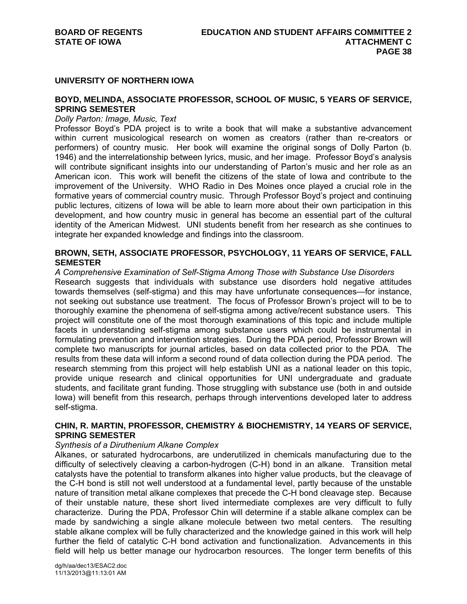## **UNIVERSITY OF NORTHERN IOWA**

## **BOYD, MELINDA, ASSOCIATE PROFESSOR, SCHOOL OF MUSIC, 5 YEARS OF SERVICE, SPRING SEMESTER**

#### *Dolly Parton: Image, Music, Text*

Professor Boyd's PDA project is to write a book that will make a substantive advancement within current musicological research on women as creators (rather than re-creators or performers) of country music. Her book will examine the original songs of Dolly Parton (b. 1946) and the interrelationship between lyrics, music, and her image. Professor Boyd's analysis will contribute significant insights into our understanding of Parton's music and her role as an American icon. This work will benefit the citizens of the state of Iowa and contribute to the improvement of the University. WHO Radio in Des Moines once played a crucial role in the formative years of commercial country music. Through Professor Boyd's project and continuing public lectures, citizens of Iowa will be able to learn more about their own participation in this development, and how country music in general has become an essential part of the cultural identity of the American Midwest. UNI students benefit from her research as she continues to integrate her expanded knowledge and findings into the classroom.

# **BROWN, SETH, ASSOCIATE PROFESSOR, PSYCHOLOGY, 11 YEARS OF SERVICE, FALL SEMESTER**

*A Comprehensive Examination of Self-Stigma Among Those with Substance Use Disorders*  Research suggests that individuals with substance use disorders hold negative attitudes towards themselves (self-stigma) and this may have unfortunate consequences—for instance, not seeking out substance use treatment. The focus of Professor Brown's project will to be to thoroughly examine the phenomena of self-stigma among active/recent substance users. This project will constitute one of the most thorough examinations of this topic and include multiple facets in understanding self-stigma among substance users which could be instrumental in formulating prevention and intervention strategies. During the PDA period, Professor Brown will complete two manuscripts for journal articles, based on data collected prior to the PDA. The results from these data will inform a second round of data collection during the PDA period. The research stemming from this project will help establish UNI as a national leader on this topic, provide unique research and clinical opportunities for UNI undergraduate and graduate students, and facilitate grant funding. Those struggling with substance use (both in and outside Iowa) will benefit from this research, perhaps through interventions developed later to address self-stigma.

## **CHIN, R. MARTIN, PROFESSOR, CHEMISTRY & BIOCHEMISTRY, 14 YEARS OF SERVICE, SPRING SEMESTER**

#### *Synthesis of a Diruthenium Alkane Complex*

Alkanes, or saturated hydrocarbons, are underutilized in chemicals manufacturing due to the difficulty of selectively cleaving a carbon-hydrogen (C-H) bond in an alkane. Transition metal catalysts have the potential to transform alkanes into higher value products, but the cleavage of the C-H bond is still not well understood at a fundamental level, partly because of the unstable nature of transition metal alkane complexes that precede the C-H bond cleavage step. Because of their unstable nature, these short lived intermediate complexes are very difficult to fully characterize. During the PDA, Professor Chin will determine if a stable alkane complex can be made by sandwiching a single alkane molecule between two metal centers. The resulting stable alkane complex will be fully characterized and the knowledge gained in this work will help further the field of catalytic C-H bond activation and functionalization. Advancements in this field will help us better manage our hydrocarbon resources. The longer term benefits of this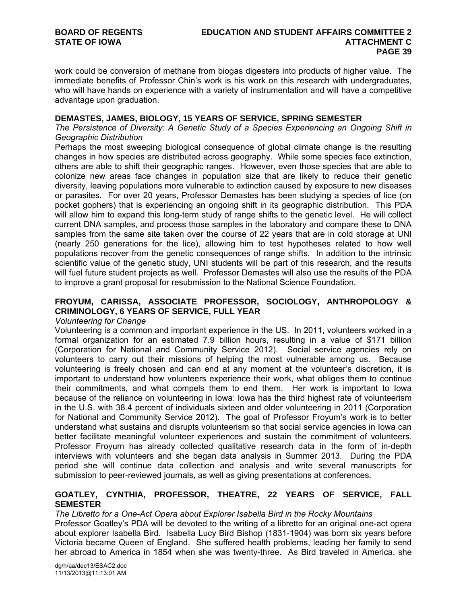work could be conversion of methane from biogas digesters into products of higher value. The immediate benefits of Professor Chin's work is his work on this research with undergraduates, who will have hands on experience with a variety of instrumentation and will have a competitive advantage upon graduation.

# **DEMASTES, JAMES, BIOLOGY, 15 YEARS OF SERVICE, SPRING SEMESTER**

*The Persistence of Diversity: A Genetic Study of a Species Experiencing an Ongoing Shift in Geographic Distribution* 

Perhaps the most sweeping biological consequence of global climate change is the resulting changes in how species are distributed across geography. While some species face extinction, others are able to shift their geographic ranges. However, even those species that are able to colonize new areas face changes in population size that are likely to reduce their genetic diversity, leaving populations more vulnerable to extinction caused by exposure to new diseases or parasites. For over 20 years, Professor Demastes has been studying a species of lice (on pocket gophers) that is experiencing an ongoing shift in its geographic distribution. This PDA will allow him to expand this long-term study of range shifts to the genetic level. He will collect current DNA samples, and process those samples in the laboratory and compare these to DNA samples from the same site taken over the course of 22 years that are in cold storage at UNI (nearly 250 generations for the lice), allowing him to test hypotheses related to how well populations recover from the genetic consequences of range shifts. In addition to the intrinsic scientific value of the genetic study, UNI students will be part of this research, and the results will fuel future student projects as well. Professor Demastes will also use the results of the PDA to improve a grant proposal for resubmission to the National Science Foundation.

# **FROYUM, CARISSA, ASSOCIATE PROFESSOR, SOCIOLOGY, ANTHROPOLOGY & CRIMINOLOGY, 6 YEARS OF SERVICE, FULL YEAR**

## *Volunteering for Change*

Volunteering is a common and important experience in the US. In 2011, volunteers worked in a formal organization for an estimated 7.9 billion hours, resulting in a value of \$171 billion (Corporation for National and Community Service 2012). Social service agencies rely on volunteers to carry out their missions of helping the most vulnerable among us. Because volunteering is freely chosen and can end at any moment at the volunteer's discretion, it is important to understand how volunteers experience their work, what obliges them to continue their commitments, and what compels them to end them. Her work is important to Iowa because of the reliance on volunteering in Iowa: Iowa has the third highest rate of volunteerism in the U.S. with 38.4 percent of individuals sixteen and older volunteering in 2011 (Corporation for National and Community Service 2012). The goal of Professor Froyum's work is to better understand what sustains and disrupts volunteerism so that social service agencies in Iowa can better facilitate meaningful volunteer experiences and sustain the commitment of volunteers. Professor Froyum has already collected qualitative research data in the form of in-depth interviews with volunteers and she began data analysis in Summer 2013. During the PDA period she will continue data collection and analysis and write several manuscripts for submission to peer-reviewed journals, as well as giving presentations at conferences.

# **GOATLEY, CYNTHIA, PROFESSOR, THEATRE, 22 YEARS OF SERVICE, FALL SEMESTER**

## *The Libretto for a One-Act Opera about Explorer Isabella Bird in the Rocky Mountains*

Professor Goatley's PDA will be devoted to the writing of a libretto for an original one-act opera about explorer Isabella Bird. Isabella Lucy Bird Bishop (1831-1904) was born six years before Victoria became Queen of England. She suffered health problems, leading her family to send her abroad to America in 1854 when she was twenty-three. As Bird traveled in America, she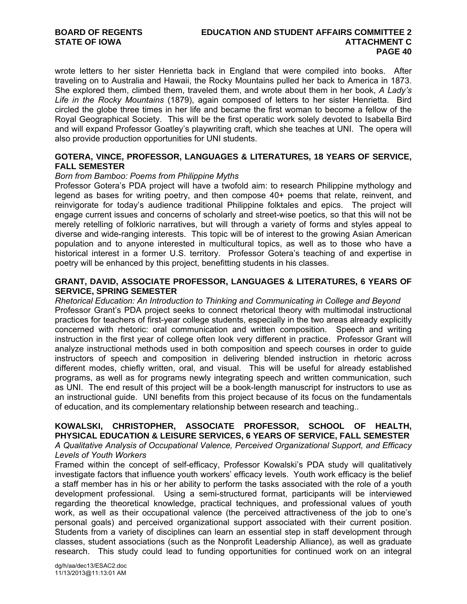wrote letters to her sister Henrietta back in England that were compiled into books. After traveling on to Australia and Hawaii, the Rocky Mountains pulled her back to America in 1873. She explored them, climbed them, traveled them, and wrote about them in her book, *A Lady's Life in the Rocky Mountains* (1879), again composed of letters to her sister Henrietta. Bird circled the globe three times in her life and became the first woman to become a fellow of the Royal Geographical Society. This will be the first operatic work solely devoted to Isabella Bird and will expand Professor Goatley's playwriting craft, which she teaches at UNI. The opera will also provide production opportunities for UNI students.

# **GOTERA, VINCE, PROFESSOR, LANGUAGES & LITERATURES, 18 YEARS OF SERVICE, FALL SEMESTER**

## *Born from Bamboo: Poems from Philippine Myths*

Professor Gotera's PDA project will have a twofold aim: to research Philippine mythology and legend as bases for writing poetry, and then compose 40+ poems that relate, reinvent, and reinvigorate for today's audience traditional Philippine folktales and epics. The project will engage current issues and concerns of scholarly and street-wise poetics, so that this will not be merely retelling of folkloric narratives, but will through a variety of forms and styles appeal to diverse and wide-ranging interests. This topic will be of interest to the growing Asian American population and to anyone interested in multicultural topics, as well as to those who have a historical interest in a former U.S. territory. Professor Gotera's teaching of and expertise in poetry will be enhanced by this project, benefitting students in his classes.

# **GRANT, DAVID, ASSOCIATE PROFESSOR, LANGUAGES & LITERATURES, 6 YEARS OF SERVICE, SPRING SEMESTER**

*Rhetorical Education: An Introduction to Thinking and Communicating in College and Beyond*  Professor Grant's PDA project seeks to connect rhetorical theory with multimodal instructional practices for teachers of first-year college students, especially in the two areas already explicitly concerned with rhetoric: oral communication and written composition. Speech and writing instruction in the first year of college often look very different in practice. Professor Grant will analyze instructional methods used in both composition and speech courses in order to guide instructors of speech and composition in delivering blended instruction in rhetoric across different modes, chiefly written, oral, and visual. This will be useful for already established programs, as well as for programs newly integrating speech and written communication, such as UNI. The end result of this project will be a book-length manuscript for instructors to use as an instructional guide. UNI benefits from this project because of its focus on the fundamentals of education, and its complementary relationship between research and teaching..

### **KOWALSKI, CHRISTOPHER, ASSOCIATE PROFESSOR, SCHOOL OF HEALTH, PHYSICAL EDUCATION & LEISURE SERVICES, 6 YEARS OF SERVICE, FALL SEMESTER**  *A Qualitative Analysis of Occupational Valence, Perceived Organizational Support, and Efficacy*

## *Levels of Youth Workers*

Framed within the concept of self-efficacy, Professor Kowalski's PDA study will qualitatively investigate factors that influence youth workers' efficacy levels. Youth work efficacy is the belief a staff member has in his or her ability to perform the tasks associated with the role of a youth development professional. Using a semi-structured format, participants will be interviewed regarding the theoretical knowledge, practical techniques, and professional values of youth work, as well as their occupational valence (the perceived attractiveness of the job to one's personal goals) and perceived organizational support associated with their current position. Students from a variety of disciplines can learn an essential step in staff development through classes, student associations (such as the Nonprofit Leadership Alliance), as well as graduate research. This study could lead to funding opportunities for continued work on an integral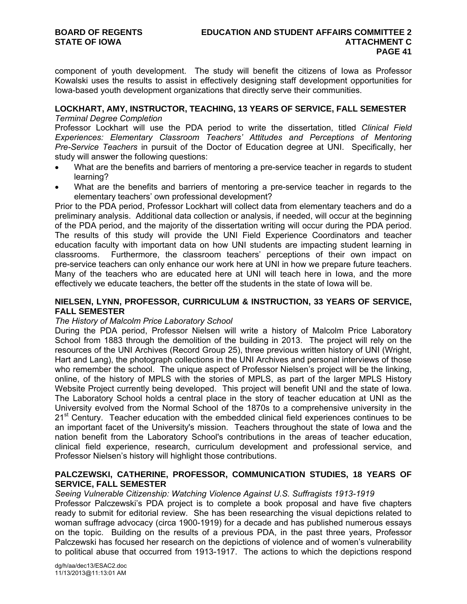component of youth development. The study will benefit the citizens of Iowa as Professor Kowalski uses the results to assist in effectively designing staff development opportunities for Iowa-based youth development organizations that directly serve their communities.

# **LOCKHART, AMY, INSTRUCTOR, TEACHING, 13 YEARS OF SERVICE, FALL SEMESTER**

# *Terminal Degree Completion*

Professor Lockhart will use the PDA period to write the dissertation, titled *Clinical Field Experiences: Elementary Classroom Teachers' Attitudes and Perceptions of Mentoring Pre-Service Teachers* in pursuit of the Doctor of Education degree at UNI. Specifically, her study will answer the following questions:

- What are the benefits and barriers of mentoring a pre-service teacher in regards to student learning?
- What are the benefits and barriers of mentoring a pre-service teacher in regards to the elementary teachers' own professional development?

Prior to the PDA period, Professor Lockhart will collect data from elementary teachers and do a preliminary analysis. Additional data collection or analysis, if needed, will occur at the beginning of the PDA period, and the majority of the dissertation writing will occur during the PDA period. The results of this study will provide the UNI Field Experience Coordinators and teacher education faculty with important data on how UNI students are impacting student learning in classrooms. Furthermore, the classroom teachers' perceptions of their own impact on pre-service teachers can only enhance our work here at UNI in how we prepare future teachers. Many of the teachers who are educated here at UNI will teach here in Iowa, and the more effectively we educate teachers, the better off the students in the state of Iowa will be.

# **NIELSEN, LYNN, PROFESSOR, CURRICULUM & INSTRUCTION, 33 YEARS OF SERVICE, FALL SEMESTER**

# *The History of Malcolm Price Laboratory School*

During the PDA period, Professor Nielsen will write a history of Malcolm Price Laboratory School from 1883 through the demolition of the building in 2013. The project will rely on the resources of the UNI Archives (Record Group 25), three previous written history of UNI (Wright, Hart and Lang), the photograph collections in the UNI Archives and personal interviews of those who remember the school. The unique aspect of Professor Nielsen's project will be the linking, online, of the history of MPLS with the stories of MPLS, as part of the larger MPLS History Website Project currently being developed. This project will benefit UNI and the state of Iowa. The Laboratory School holds a central place in the story of teacher education at UNI as the University evolved from the Normal School of the 1870s to a comprehensive university in the 21<sup>st</sup> Century. Teacher education with the embedded clinical field experiences continues to be an important facet of the University's mission. Teachers throughout the state of Iowa and the nation benefit from the Laboratory School's contributions in the areas of teacher education, clinical field experience, research, curriculum development and professional service, and Professor Nielsen's history will highlight those contributions.

# **PALCZEWSKI, CATHERINE, PROFESSOR, COMMUNICATION STUDIES, 18 YEARS OF SERVICE, FALL SEMESTER**

# *Seeing Vulnerable Citizenship: Watching Violence Against U.S. Suffragists 1913-1919*

Professor Palczewski's PDA project is to complete a book proposal and have five chapters ready to submit for editorial review. She has been researching the visual depictions related to woman suffrage advocacy (circa 1900-1919) for a decade and has published numerous essays on the topic. Building on the results of a previous PDA, in the past three years, Professor Palczewski has focused her research on the depictions of violence and of women's vulnerability to political abuse that occurred from 1913-1917. The actions to which the depictions respond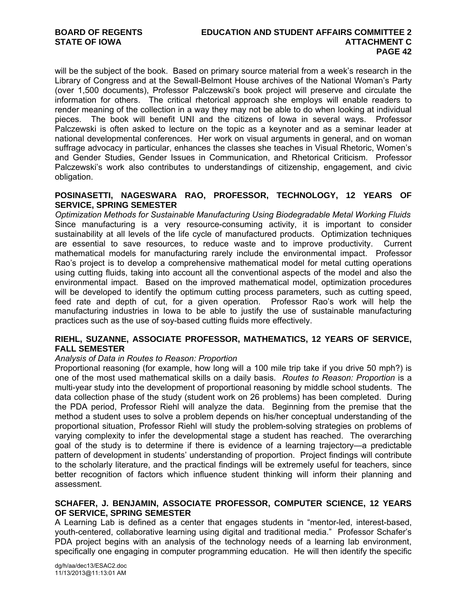will be the subject of the book. Based on primary source material from a week's research in the Library of Congress and at the Sewall-Belmont House archives of the National Woman's Party (over 1,500 documents), Professor Palczewski's book project will preserve and circulate the information for others. The critical rhetorical approach she employs will enable readers to render meaning of the collection in a way they may not be able to do when looking at individual pieces. The book will benefit UNI and the citizens of Iowa in several ways. Professor Palczewski is often asked to lecture on the topic as a keynoter and as a seminar leader at national developmental conferences. Her work on visual arguments in general, and on woman suffrage advocacy in particular, enhances the classes she teaches in Visual Rhetoric, Women's and Gender Studies, Gender Issues in Communication, and Rhetorical Criticism. Professor Palczewski's work also contributes to understandings of citizenship, engagement, and civic obligation.

# **POSINASETTI, NAGESWARA RAO, PROFESSOR, TECHNOLOGY, 12 YEARS OF SERVICE, SPRING SEMESTER**

*Optimization Methods for Sustainable Manufacturing Using Biodegradable Metal Working Fluids*  Since manufacturing is a very resource-consuming activity, it is important to consider sustainability at all levels of the life cycle of manufactured products. Optimization techniques are essential to save resources, to reduce waste and to improve productivity. Current mathematical models for manufacturing rarely include the environmental impact. Professor Rao's project is to develop a comprehensive mathematical model for metal cutting operations using cutting fluids, taking into account all the conventional aspects of the model and also the environmental impact. Based on the improved mathematical model, optimization procedures will be developed to identify the optimum cutting process parameters, such as cutting speed, feed rate and depth of cut, for a given operation. Professor Rao's work will help the manufacturing industries in Iowa to be able to justify the use of sustainable manufacturing practices such as the use of soy-based cutting fluids more effectively.

## **RIEHL, SUZANNE, ASSOCIATE PROFESSOR, MATHEMATICS, 12 YEARS OF SERVICE, FALL SEMESTER**

## *Analysis of Data in Routes to Reason: Proportion*

Proportional reasoning (for example, how long will a 100 mile trip take if you drive 50 mph?) is one of the most used mathematical skills on a daily basis. *Routes to Reason: Proportion* is a multi-year study into the development of proportional reasoning by middle school students. The data collection phase of the study (student work on 26 problems) has been completed. During the PDA period, Professor Riehl will analyze the data. Beginning from the premise that the method a student uses to solve a problem depends on his/her conceptual understanding of the proportional situation, Professor Riehl will study the problem-solving strategies on problems of varying complexity to infer the developmental stage a student has reached. The overarching goal of the study is to determine if there is evidence of a learning trajectory—a predictable pattern of development in students' understanding of proportion. Project findings will contribute to the scholarly literature, and the practical findings will be extremely useful for teachers, since better recognition of factors which influence student thinking will inform their planning and assessment.

# **SCHAFER, J. BENJAMIN, ASSOCIATE PROFESSOR, COMPUTER SCIENCE, 12 YEARS OF SERVICE, SPRING SEMESTER**

A Learning Lab is defined as a center that engages students in "mentor-led, interest-based, youth-centered, collaborative learning using digital and traditional media." Professor Schafer's PDA project begins with an analysis of the technology needs of a learning lab environment, specifically one engaging in computer programming education. He will then identify the specific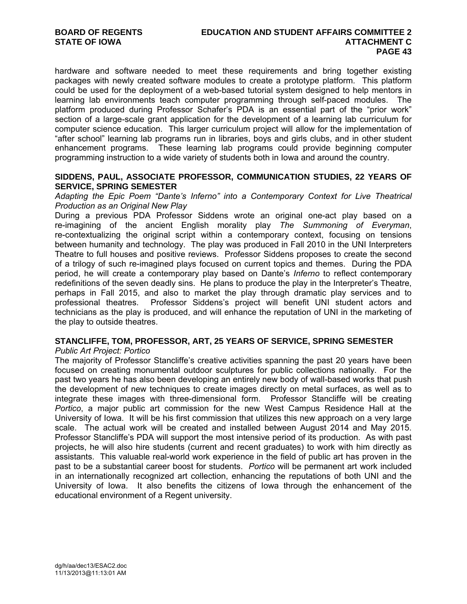hardware and software needed to meet these requirements and bring together existing packages with newly created software modules to create a prototype platform. This platform could be used for the deployment of a web-based tutorial system designed to help mentors in learning lab environments teach computer programming through self-paced modules. The platform produced during Professor Schafer's PDA is an essential part of the "prior work" section of a large-scale grant application for the development of a learning lab curriculum for computer science education. This larger curriculum project will allow for the implementation of "after school" learning lab programs run in libraries, boys and girls clubs, and in other student enhancement programs. These learning lab programs could provide beginning computer programming instruction to a wide variety of students both in Iowa and around the country.

## **SIDDENS, PAUL, ASSOCIATE PROFESSOR, COMMUNICATION STUDIES, 22 YEARS OF SERVICE, SPRING SEMESTER**

*Adapting the Epic Poem "Dante's Inferno" into a Contemporary Context for Live Theatrical Production as an Original New Play* 

During a previous PDA Professor Siddens wrote an original one-act play based on a re-imagining of the ancient English morality play *The Summoning of Everyman*, re-contextualizing the original script within a contemporary context, focusing on tensions between humanity and technology. The play was produced in Fall 2010 in the UNI Interpreters Theatre to full houses and positive reviews. Professor Siddens proposes to create the second of a trilogy of such re-imagined plays focused on current topics and themes. During the PDA period, he will create a contemporary play based on Dante's *Inferno* to reflect contemporary redefinitions of the seven deadly sins. He plans to produce the play in the Interpreter's Theatre, perhaps in Fall 2015, and also to market the play through dramatic play services and to professional theatres. Professor Siddens's project will benefit UNI student actors and technicians as the play is produced, and will enhance the reputation of UNI in the marketing of the play to outside theatres.

# **STANCLIFFE, TOM, PROFESSOR, ART, 25 YEARS OF SERVICE, SPRING SEMESTER**

## *Public Art Project: Portico*

The majority of Professor Stancliffe's creative activities spanning the past 20 years have been focused on creating monumental outdoor sculptures for public collections nationally. For the past two years he has also been developing an entirely new body of wall-based works that push the development of new techniques to create images directly on metal surfaces, as well as to integrate these images with three-dimensional form. Professor Stancliffe will be creating *Portico*, a major public art commission for the new West Campus Residence Hall at the University of Iowa. It will be his first commission that utilizes this new approach on a very large scale. The actual work will be created and installed between August 2014 and May 2015. Professor Stancliffe's PDA will support the most intensive period of its production. As with past projects, he will also hire students (current and recent graduates) to work with him directly as assistants. This valuable real-world work experience in the field of public art has proven in the past to be a substantial career boost for students. *Portico* will be permanent art work included in an internationally recognized art collection, enhancing the reputations of both UNI and the University of Iowa. It also benefits the citizens of Iowa through the enhancement of the educational environment of a Regent university.